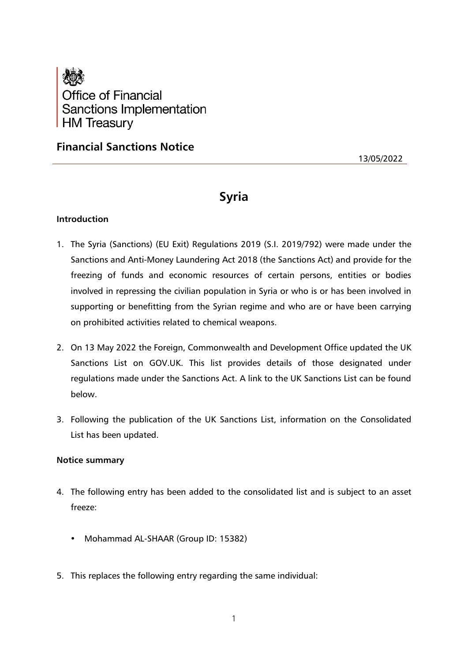

**Financial Sanctions Notice**

13/05/2022

# **Syria**

# **Introduction**

- 1. The Syria (Sanctions) (EU Exit) Regulations 2019 (S.I. 2019/792) were made under the Sanctions and Anti-Money Laundering Act 2018 (the Sanctions Act) and provide for the freezing of funds and economic resources of certain persons, entities or bodies involved in repressing the civilian population in Syria or who is or has been involved in supporting or benefitting from the Syrian regime and who are or have been carrying on prohibited activities related to chemical weapons.
- 2. On 13 May 2022 the Foreign, Commonwealth and Development Office updated the UK Sanctions List on GOV.UK. This list provides details of those designated under regulations made under the Sanctions Act. A link to the UK Sanctions List can be found below.
- 3. Following the publication of the UK Sanctions List, information on the Consolidated List has been updated.

### **Notice summary**

- 4. The following entry has been added to the consolidated list and is subject to an asset freeze:
	- Mohammad AL-SHAAR (Group ID: 15382)
- 5. This replaces the following entry regarding the same individual: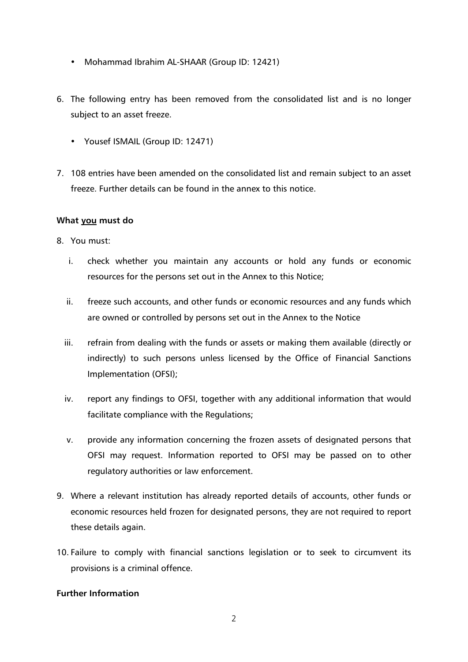- Mohammad Ibrahim AL-SHAAR (Group ID: 12421)
- 6. The following entry has been removed from the consolidated list and is no longer subject to an asset freeze.
	- Yousef ISMAIL (Group ID: 12471)
- 7. 108 entries have been amended on the consolidated list and remain subject to an asset freeze. Further details can be found in the annex to this notice.

# **What you must do**

- 8. You must:
	- i. check whether you maintain any accounts or hold any funds or economic resources for the persons set out in the Annex to this Notice;
	- ii. freeze such accounts, and other funds or economic resources and any funds which are owned or controlled by persons set out in the Annex to the Notice
	- iii. refrain from dealing with the funds or assets or making them available (directly or indirectly) to such persons unless licensed by the Office of Financial Sanctions Implementation (OFSI);
	- iv. report any findings to OFSI, together with any additional information that would facilitate compliance with the Regulations;
	- v. provide any information concerning the frozen assets of designated persons that OFSI may request. Information reported to OFSI may be passed on to other regulatory authorities or law enforcement.
- 9. Where a relevant institution has already reported details of accounts, other funds or economic resources held frozen for designated persons, they are not required to report these details again.
- 10. Failure to comply with financial sanctions legislation or to seek to circumvent its provisions is a criminal offence.

# **Further Information**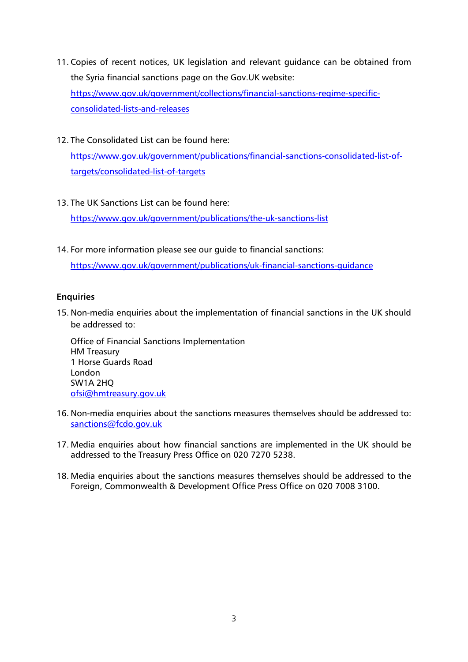- 11. Copies of recent notices, UK legislation and relevant guidance can be obtained from the Syria financial sanctions page on the Gov.UK website: [https://www.gov.uk/government/collections/financial-sanctions-regime-specific](https://www.gov.uk/government/collections/financial-sanctions-regime-specific-consolidated-lists-and-releases)[consolidated-lists-and-releases](https://www.gov.uk/government/collections/financial-sanctions-regime-specific-consolidated-lists-and-releases)
- 12. The Consolidated List can be found here:

[https://www.gov.uk/government/publications/financial-sanctions-consolidated-list-of](https://www.gov.uk/government/publications/financial-sanctions-consolidated-list-of-targets/consolidated-list-of-targets)[targets/consolidated-list-of-targets](https://www.gov.uk/government/publications/financial-sanctions-consolidated-list-of-targets/consolidated-list-of-targets)

13. The UK Sanctions List can be found here:

<https://www.gov.uk/government/publications/the-uk-sanctions-list>

14. For more information please see our guide to financial sanctions:

<https://www.gov.uk/government/publications/uk-financial-sanctions-guidance>

# **Enquiries**

15. Non-media enquiries about the implementation of financial sanctions in the UK should be addressed to:

Office of Financial Sanctions Implementation HM Treasury 1 Horse Guards Road London SW1A 2HQ [ofsi@hmtreasury.gov.uk](mailto:ofsi@hmtreasury.gov.uk)

- 16. Non-media enquiries about the sanctions measures themselves should be addressed to: [sanctions@fcdo.gov.uk](mailto:sanctions@fcdo.gov.uk)
- 17. Media enquiries about how financial sanctions are implemented in the UK should be addressed to the Treasury Press Office on 020 7270 5238.
- 18. Media enquiries about the sanctions measures themselves should be addressed to the Foreign, Commonwealth & Development Office Press Office on 020 7008 3100.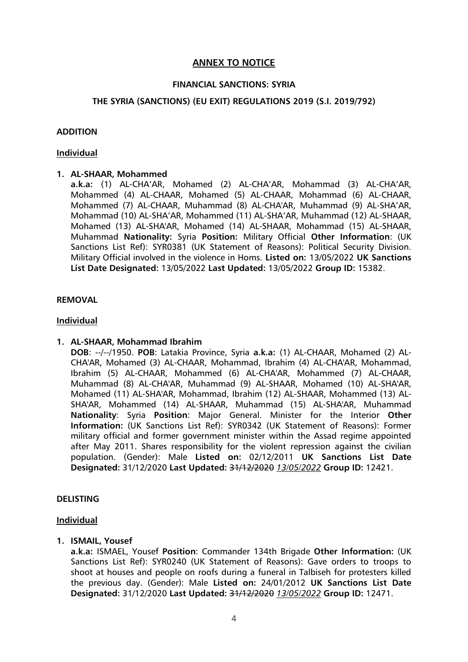# **ANNEX TO NOTICE**

### **FINANCIAL SANCTIONS: SYRIA**

### **THE SYRIA (SANCTIONS) (EU EXIT) REGULATIONS 2019 (S.I. 2019/792)**

#### **ADDITION**

#### **Individual**

### **1. AL-SHAAR, Mohammed**

**a.k.a:** (1) AL-CHA'AR, Mohamed (2) AL-CHA'AR, Mohammad (3) AL-CHA'AR, Mohammed (4) AL-CHAAR, Mohamed (5) AL-CHAAR, Mohammad (6) AL-CHAAR, Mohammed (7) AL-CHAAR, Muhammad (8) AL-CHA'AR, Muhammad (9) AL-SHA'AR, Mohammad (10) AL-SHA'AR, Mohammed (11) AL-SHA'AR, Muhammad (12) AL-SHAAR, Mohamed (13) AL-SHA'AR, Mohamed (14) AL-SHAAR, Mohammad (15) AL-SHAAR, Muhammad **Nationality:** Syria **Position:** Military Official **Other Information**: (UK Sanctions List Ref): SYR0381 (UK Statement of Reasons): Political Security Division. Military Official involved in the violence in Homs. **Listed on:** 13/05/2022 **UK Sanctions List Date Designated:** 13/05/2022 **Last Updated:** 13/05/2022 **Group ID:** 15382.

### **REMOVAL**

### **Individual**

#### **1. AL-SHAAR, Mohammad Ibrahim**

**DOB**: --/--/1950. **POB**: Latakia Province, Syria **a.k.a:** (1) AL-CHAAR, Mohamed (2) AL-CHA'AR, Mohamed (3) AL-CHAAR, Mohammad, Ibrahim (4) AL-CHA'AR, Mohammad, Ibrahim (5) AL-CHAAR, Mohammed (6) AL-CHA'AR, Mohammed (7) AL-CHAAR, Muhammad (8) AL-CHA'AR, Muhammad (9) AL-SHAAR, Mohamed (10) AL-SHA'AR, Mohamed (11) AL-SHA'AR, Mohammad, Ibrahim (12) AL-SHAAR, Mohammed (13) AL-SHA'AR, Mohammed (14) AL-SHAAR, Muhammad (15) AL-SHA'AR, Muhammad **Nationality**: Syria **Position**: Major General. Minister for the Interior **Other Information:** (UK Sanctions List Ref): SYR0342 (UK Statement of Reasons): Former military official and former government minister within the Assad regime appointed after May 2011. Shares responsibility for the violent repression against the civilian population. (Gender): Male **Listed on:** 02/12/2011 **UK Sanctions List Date Designated:** 31/12/2020 **Last Updated:** 31/12/2020 *13/05/2022* **Group ID:** 12421.

#### **DELISTING**

#### **Individual**

#### **1. ISMAIL, Yousef**

**a.k.a:** ISMAEL, Yousef **Position**: Commander 134th Brigade **Other Information:** (UK Sanctions List Ref): SYR0240 (UK Statement of Reasons): Gave orders to troops to shoot at houses and people on roofs during a funeral in Talbiseh for protesters killed the previous day. (Gender): Male **Listed on:** 24/01/2012 **UK Sanctions List Date Designated:** 31/12/2020 **Last Updated:** 31/12/2020 *13/05/2022* **Group ID:** 12471.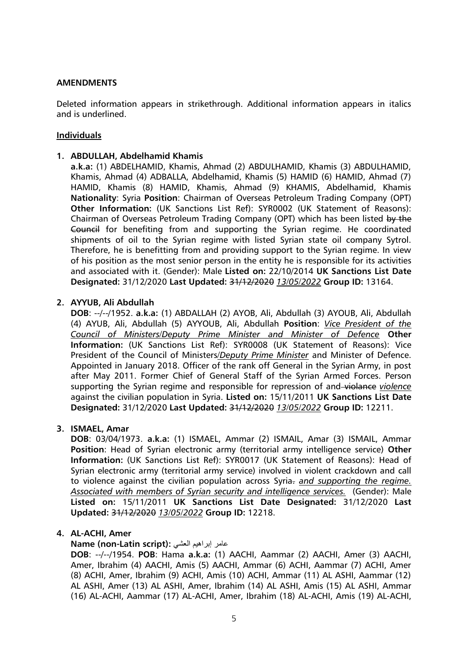### **AMENDMENTS**

Deleted information appears in strikethrough. Additional information appears in italics and is underlined.

### **Individuals**

### **1. ABDULLAH, Abdelhamid Khamis**

**a.k.a:** (1) ABDELHAMID, Khamis, Ahmad (2) ABDULHAMID, Khamis (3) ABDULHAMID, Khamis, Ahmad (4) ADBALLA, Abdelhamid, Khamis (5) HAMID (6) HAMID, Ahmad (7) HAMID, Khamis (8) HAMID, Khamis, Ahmad (9) KHAMIS, Abdelhamid, Khamis **Nationality**: Syria **Position**: Chairman of Overseas Petroleum Trading Company (OPT) **Other Information:** (UK Sanctions List Ref): SYR0002 (UK Statement of Reasons): Chairman of Overseas Petroleum Trading Company (OPT) which has been listed by the Council for benefiting from and supporting the Syrian regime. He coordinated shipments of oil to the Syrian regime with listed Syrian state oil company Sytrol. Therefore, he is benefitting from and providing support to the Syrian regime. In view of his position as the most senior person in the entity he is responsible for its activities and associated with it. (Gender): Male **Listed on:** 22/10/2014 **UK Sanctions List Date Designated:** 31/12/2020 **Last Updated:** 31/12/2020 *13/05/2022* **Group ID:** 13164.

### **2. AYYUB, Ali Abdullah**

**DOB**: --/--/1952. **a.k.a:** (1) ABDALLAH (2) AYOB, Ali, Abdullah (3) AYOUB, Ali, Abdullah (4) AYUB, Ali, Abdullah (5) AYYOUB, Ali, Abdullah **Position**: *Vice President of the Council of Ministers/Deputy Prime Minister and Minister of Defence* **Other Information:** (UK Sanctions List Ref): SYR0008 (UK Statement of Reasons): Vice President of the Council of Ministers*/Deputy Prime Minister* and Minister of Defence. Appointed in January 2018. Officer of the rank off General in the Syrian Army, in post after May 2011. Former Chief of General Staff of the Syrian Armed Forces. Person supporting the Syrian regime and responsible for repression of and violance *violence* against the civilian population in Syria. **Listed on:** 15/11/2011 **UK Sanctions List Date Designated:** 31/12/2020 **Last Updated:** 31/12/2020 *13/05/2022* **Group ID:** 12211.

#### **3. ISMAEL, Amar**

**DOB**: 03/04/1973. **a.k.a:** (1) ISMAEL, Ammar (2) ISMAIL, Amar (3) ISMAIL, Ammar **Position**: Head of Syrian electronic army (territorial army intelligence service) **Other Information:** (UK Sanctions List Ref): SYR0017 (UK Statement of Reasons): Head of Syrian electronic army (territorial army service) involved in violent crackdown and call to violence against the civilian population across Syria. *and supporting the regime. Associated with members of Syrian security and intelligence services.* (Gender): Male **Listed on:** 15/11/2011 **UK Sanctions List Date Designated:** 31/12/2020 **Last Updated:** 31/12/2020 *13/05/2022* **Group ID:** 12218.

### **4. AL-ACHI, Amer**

### **Name (non-Latin script):** العشي إبراهيم عامر

**DOB**: --/--/1954. **POB**: Hama **a.k.a:** (1) AACHI, Aammar (2) AACHI, Amer (3) AACHI, Amer, Ibrahim (4) AACHI, Amis (5) AACHI, Ammar (6) ACHI, Aammar (7) ACHI, Amer (8) ACHI, Amer, Ibrahim (9) ACHI, Amis (10) ACHI, Ammar (11) AL ASHI, Aammar (12) AL ASHI, Amer (13) AL ASHI, Amer, Ibrahim (14) AL ASHI, Amis (15) AL ASHI, Ammar (16) AL-ACHI, Aammar (17) AL-ACHI, Amer, Ibrahim (18) AL-ACHI, Amis (19) AL-ACHI,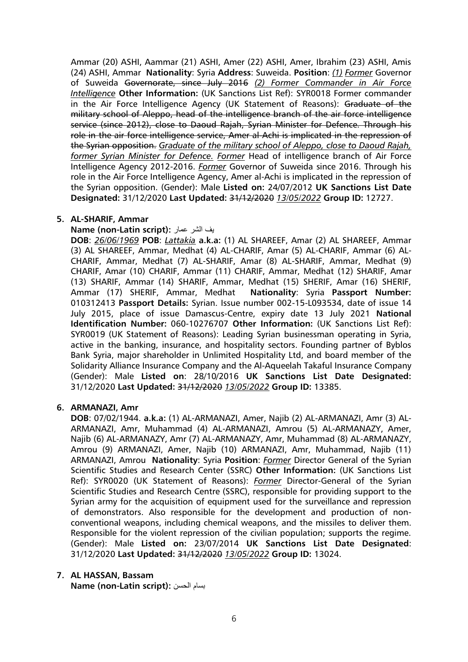Ammar (20) ASHI, Aammar (21) ASHI, Amer (22) ASHI, Amer, Ibrahim (23) ASHI, Amis (24) ASHI, Ammar **Nationality**: Syria **Address**: Suweida. **Position**: *(1) Former* Governor of Suweida Governorate, since July 2016 *(2) Former Commander in Air Force Intelligence* **Other Information:** (UK Sanctions List Ref): SYR0018 Former commander in the Air Force Intelligence Agency (UK Statement of Reasons): Graduate of the military school of Aleppo, head of the intelligence branch of the air force intelligence service (since 2012), close to Daoud Rajah, Syrian Minister for Defence. Through his role in the air force intelligence service, Amer al-Achi is implicated in the repression of the Syrian opposition. *Graduate of the military school of Aleppo, close to Daoud Rajah, former Syrian Minister for Defence. Former* Head of intelligence branch of Air Force Intelligence Agency 2012-2016. *Former* Governor of Suweida since 2016. Through his role in the Air Force Intelligence Agency, Amer al-Achi is implicated in the repression of the Syrian opposition. (Gender): Male **Listed on:** 24/07/2012 **UK Sanctions List Date Designated:** 31/12/2020 **Last Updated:** 31/12/2020 *13/05/2022* **Group ID:** 12727.

#### **5. AL-SHARIF, Ammar**

#### **Name (non-Latin script):** عمار الشر يف

**DOB**: *26/06/1969* **POB**: *Lattakia* **a.k.a:** (1) AL SHAREEF, Amar (2) AL SHAREEF, Ammar (3) AL SHAREEF, Ammar, Medhat (4) AL-CHARIF, Amar (5) AL-CHARIF, Ammar (6) AL-CHARIF, Ammar, Medhat (7) AL-SHARIF, Amar (8) AL-SHARIF, Ammar, Medhat (9) CHARIF, Amar (10) CHARIF, Ammar (11) CHARIF, Ammar, Medhat (12) SHARIF, Amar (13) SHARIF, Ammar (14) SHARIF, Ammar, Medhat (15) SHERIF, Amar (16) SHERIF, Ammar (17) SHERIF, Ammar, Medhat **Nationality**: Syria **Passport Number:** 010312413 **Passport Details:** Syrian. Issue number 002-15-L093534, date of issue 14 July 2015, place of issue Damascus-Centre, expiry date 13 July 2021 **National Identification Number:** 060-10276707 **Other Information:** (UK Sanctions List Ref): SYR0019 (UK Statement of Reasons): Leading Syrian businessman operating in Syria, active in the banking, insurance, and hospitality sectors. Founding partner of Byblos Bank Syria, major shareholder in Unlimited Hospitality Ltd, and board member of the Solidarity Alliance Insurance Company and the Al-Aqueelah Takaful Insurance Company (Gender): Male **Listed on**: 28/10/2016 **UK Sanctions List Date Designated:** 31/12/2020 **Last Updated:** 31/12/2020 *13/05/2022* **Group ID:** 13385.

### **6. ARMANAZI, Amr**

**DOB**: 07/02/1944. **a.k.a:** (1) AL-ARMANAZI, Amer, Najib (2) AL-ARMANAZI, Amr (3) AL-ARMANAZI, Amr, Muhammad (4) AL-ARMANAZI, Amrou (5) AL-ARMANAZY, Amer, Najib (6) AL-ARMANAZY, Amr (7) AL-ARMANAZY, Amr, Muhammad (8) AL-ARMANAZY, Amrou (9) ARMANAZI, Amer, Najib (10) ARMANAZI, Amr, Muhammad, Najib (11) ARMANAZI, Amrou **Nationality**: Syria **Position**: *Former* Director General of the Syrian Scientific Studies and Research Center (SSRC) **Other Information:** (UK Sanctions List Ref): SYR0020 (UK Statement of Reasons): *Former* Director-General of the Syrian Scientific Studies and Research Centre (SSRC), responsible for providing support to the Syrian army for the acquisition of equipment used for the surveillance and repression of demonstrators. Also responsible for the development and production of nonconventional weapons, including chemical weapons, and the missiles to deliver them. Responsible for the violent repression of the civilian population; supports the regime. (Gender): Male **Listed on:** 23/07/2014 **UK Sanctions List Date Designated**: 31/12/2020 **Last Updated:** 31/12/2020 *13/05/2022* **Group ID:** 13024.

### **7. AL HASSAN, Bassam**

**Name (non-Latin script):** الحسن بسام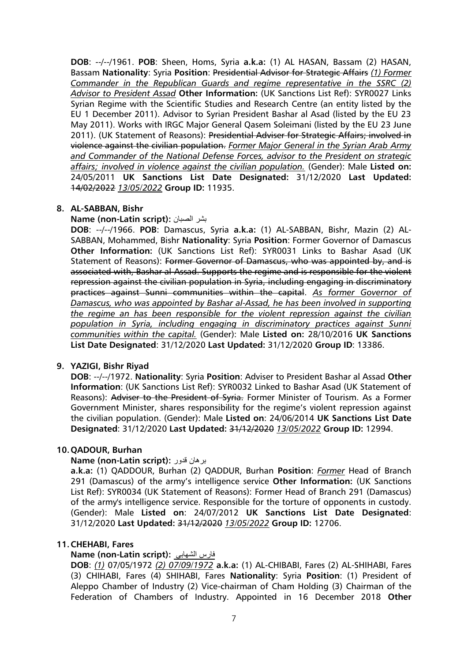**DOB**: --/--/1961. **POB**: Sheen, Homs, Syria **a.k.a:** (1) AL HASAN, Bassam (2) HASAN, Bassam **Nationality**: Syria **Position**: Presidential Advisor for Strategic Affairs *(1) Former Commander in the Republican Guards and regime representative in the SSRC (2) Advisor to President Assad* **Other Information:** (UK Sanctions List Ref): SYR0027 Links Syrian Regime with the Scientific Studies and Research Centre (an entity listed by the EU 1 December 2011). Advisor to Syrian President Bashar al Asad (listed by the EU 23 May 2011). Works with IRGC Major General Qasem Soleimani (listed by the EU 23 June 2011). (UK Statement of Reasons): Presidential Adviser for Strategic Affairs; involved in violence against the civilian population. *Former Major General in the Syrian Arab Army and Commander of the National Defense Forces, advisor to the President on strategic affairs; involved in violence against the civilian population.* (Gender): Male **Listed on:** 24/05/2011 **UK Sanctions List Date Designated:** 31/12/2020 **Last Updated:**  14/02/2022 *13/05/2022* **Group ID:** 11935.

### **8. AL-SABBAN, Bishr**

#### **Name (non-Latin script):** الصبان بشر

**DOB**: --/--/1966. **POB**: Damascus, Syria **a.k.a:** (1) AL-SABBAN, Bishr, Mazin (2) AL-SABBAN, Mohammed, Bishr **Nationality**: Syria **Position**: Former Governor of Damascus **Other Information:** (UK Sanctions List Ref): SYR0031 Links to Bashar Asad (UK Statement of Reasons): Former Governor of Damascus, who was appointed by, and is associated with, Bashar al-Assad. Supports the regime and is responsible for the violent repression against the civilian population in Syria, including engaging in discriminatory practices against Sunni communities within the capital. *As former Governor of Damascus, who was appointed by Bashar al-Assad, he has been involved in supporting the regime an has been responsible for the violent repression against the civilian population in Syria, including engaging in discriminatory practices against Sunni communities within the capital.* (Gender): Male **Listed on:** 28/10/2016 **UK Sanctions List Date Designated**: 31/12/2020 **Last Updated:** 31/12/2020 **Group ID**: 13386.

#### **9. YAZIGI, Bishr Riyad**

**DOB**: --/--/1972. **Nationality**: Syria **Position**: Adviser to President Bashar al Assad **Other Information**: (UK Sanctions List Ref): SYR0032 Linked to Bashar Asad (UK Statement of Reasons): Adviser to the President of Syria. Former Minister of Tourism. As a Former Government Minister, shares responsibility for the regime's violent repression against the civilian population. (Gender): Male **Listed on**: 24/06/2014 **UK Sanctions List Date Designated**: 31/12/2020 **Last Updated:** 31/12/2020 *13/05/2022* **Group ID:** 12994.

#### **10.QADOUR, Burhan**

#### **Name (non-Latin script):** قدور برهان

**a.k.a:** (1) QADDOUR, Burhan (2) QADDUR, Burhan **Position**: *Former* Head of Branch 291 (Damascus) of the army's intelligence service **Other Information:** (UK Sanctions List Ref): SYR0034 (UK Statement of Reasons): Former Head of Branch 291 (Damascus) of the army's intelligence service. Responsible for the torture of opponents in custody. (Gender): Male **Listed on**: 24/07/2012 **UK Sanctions List Date Designated**: 31/12/2020 **Last Updated:** 31/12/2020 *13/05/2022* **Group ID:** 12706.

#### **11.CHEHABI, Fares**

#### **Name (non-Latin script):** الشهابي فارس

**DOB**: *(1)* 07/05/1972 *(2) 07/09/1972* **a.k.a:** (1) AL-CHIBABI, Fares (2) AL-SHIHABI, Fares (3) CHIHABI, Fares (4) SHIHABI, Fares **Nationality**: Syria **Position**: (1) President of Aleppo Chamber of Industry (2) Vice-chairman of Cham Holding (3) Chairman of the Federation of Chambers of Industry. Appointed in 16 December 2018 **Other**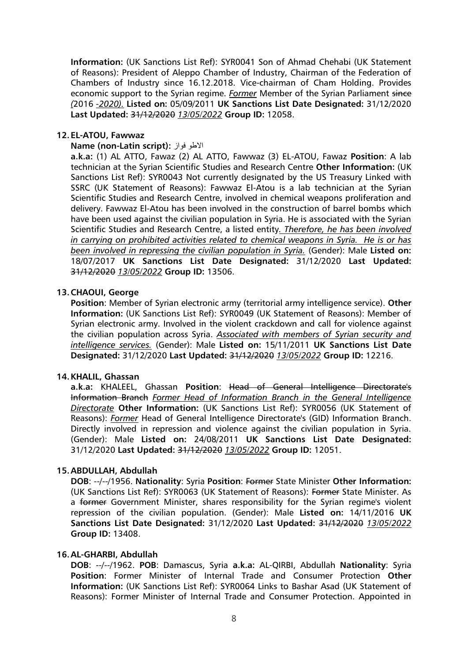**Information:** (UK Sanctions List Ref): SYR0041 Son of Ahmad Chehabi (UK Statement of Reasons): President of Aleppo Chamber of Industry, Chairman of the Federation of Chambers of Industry since 16.12.2018. Vice-chairman of Cham Holding. Provides economic support to the Syrian regime. *Former* Member of the Syrian Parliament since *(*2016 *-2020).* **Listed on:** 05/09/2011 **UK Sanctions List Date Designated:** 31/12/2020 **Last Updated:** 31/12/2020 *13/05/2022* **Group ID:** 12058.

### **12.EL-ATOU, Fawwaz**

#### **Name (non-Latin script):** فواز االطو

**a.k.a:** (1) AL ATTO, Fawaz (2) AL ATTO, Fawwaz (3) EL-ATOU, Fawaz **Position**: A lab technician at the Syrian Scientific Studies and Research Centre **Other Information:** (UK Sanctions List Ref): SYR0043 Not currently designated by the US Treasury Linked with SSRC (UK Statement of Reasons): Fawwaz El-Atou is a lab technician at the Syrian Scientific Studies and Research Centre, involved in chemical weapons proliferation and delivery. Fawwaz El-Atou has been involved in the construction of barrel bombs which have been used against the civilian population in Syria. He is associated with the Syrian Scientific Studies and Research Centre, a listed entity*. Therefore, he has been involved in carrying on prohibited activities related to chemical weapons in Syria. He is or has been involved in repressing the civilian population in Syria.* (Gender): Male **Listed on:** 18/07/2017 **UK Sanctions List Date Designated:** 31/12/2020 **Last Updated:** 31/12/2020 *13/05/2022* **Group ID:** 13506.

### **13.CHAOUI, George**

**Position**: Member of Syrian electronic army (territorial army intelligence service). **Other Information:** (UK Sanctions List Ref): SYR0049 (UK Statement of Reasons): Member of Syrian electronic army. Involved in the violent crackdown and call for violence against the civilian population across Syria. *Associated with members of Syrian security and intelligence services.* (Gender): Male **Listed on:** 15/11/2011 **UK Sanctions List Date Designated:** 31/12/2020 **Last Updated:** 31/12/2020 *13/05/2022* **Group ID:** 12216.

#### **14.KHALIL, Ghassan**

**a.k.a:** KHALEEL, Ghassan **Position**: Head of General Intelligence Directorate's Information Branch *Former Head of Information Branch in the General Intelligence Directorate* **Other Information:** (UK Sanctions List Ref): SYR0056 (UK Statement of Reasons): *Former* Head of General Intelligence Directorate's (GID) Information Branch. Directly involved in repression and violence against the civilian population in Syria. (Gender): Male **Listed on:** 24/08/2011 **UK Sanctions List Date Designated:** 31/12/2020 **Last Updated:** 31/12/2020 *13/05/2022* **Group ID:** 12051.

#### **15.ABDULLAH, Abdullah**

**DOB**: --/--/1956. **Nationality**: Syria **Position**: Former State Minister **Other Information:** (UK Sanctions List Ref): SYR0063 (UK Statement of Reasons): Former State Minister. As a former Government Minister, shares responsibility for the Syrian regime's violent repression of the civilian population. (Gender): Male **Listed on:** 14/11/2016 **UK Sanctions List Date Designated:** 31/12/2020 **Last Updated:** 31/12/2020 *13/05/2022* **Group ID:** 13408.

### **16.AL-GHARBI, Abdullah**

**DOB**: --/--/1962. **POB**: Damascus, Syria **a.k.a:** AL-QIRBI, Abdullah **Nationality**: Syria **Position**: Former Minister of Internal Trade and Consumer Protection **Other Information:** (UK Sanctions List Ref): SYR0064 Links to Bashar Asad (UK Statement of Reasons): Former Minister of Internal Trade and Consumer Protection. Appointed in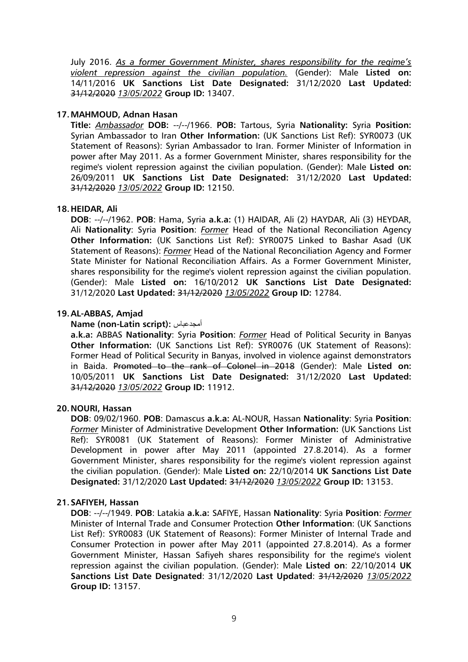July 2016. *As a former Government Minister, shares responsibility for the regime's violent repression against the civilian population.* (Gender): Male **Listed on:**  14/11/2016 **UK Sanctions List Date Designated:** 31/12/2020 **Last Updated:** 31/12/2020 *13/05/2022* **Group ID:** 13407.

### **17.MAHMOUD, Adnan Hasan**

**Title:** *Ambassador* **DOB:** --/--/1966. **POB:** Tartous, Syria **Nationality:** Syria **Position:** Syrian Ambassador to Iran **Other Information:** (UK Sanctions List Ref): SYR0073 (UK Statement of Reasons): Syrian Ambassador to Iran. Former Minister of Information in power after May 2011. As a former Government Minister, shares responsibility for the regime's violent repression against the civilian population. (Gender): Male **Listed on:** 26/09/2011 **UK Sanctions List Date Designated:** 31/12/2020 **Last Updated:** 31/12/2020 *13/05/2022* **Group ID:** 12150.

### **18.HEIDAR, Ali**

**DOB**: --/--/1962. **POB**: Hama, Syria **a.k.a:** (1) HAIDAR, Ali (2) HAYDAR, Ali (3) HEYDAR, Ali **Nationality**: Syria **Position**: *Former* Head of the National Reconciliation Agency **Other Information:** (UK Sanctions List Ref): SYR0075 Linked to Bashar Asad (UK Statement of Reasons): *Former* Head of the National Reconciliation Agency and Former State Minister for National Reconciliation Affairs. As a Former Government Minister, shares responsibility for the regime's violent repression against the civilian population. (Gender): Male **Listed on:** 16/10/2012 **UK Sanctions List Date Designated:** 31/12/2020 **Last Updated:** 31/12/2020 *13/05/2022* **Group ID:** 12784.

### **19.AL-ABBAS, Amjad**

**Name (non-Latin script):** أمجدعباس

**a.k.a:** ABBAS **Nationality**: Syria **Position**: *Former* Head of Political Security in Banyas **Other Information:** (UK Sanctions List Ref): SYR0076 (UK Statement of Reasons): Former Head of Political Security in Banyas, involved in violence against demonstrators in Baida. Promoted to the rank of Colonel in 2018 (Gender): Male **Listed on:** 10/05/2011 **UK Sanctions List Date Designated:** 31/12/2020 **Last Updated:** 31/12/2020 *13/05/2022* **Group ID:** 11912.

#### **20.NOURI, Hassan**

**DOB**: 09/02/1960. **POB**: Damascus **a.k.a:** AL-NOUR, Hassan **Nationality**: Syria **Position**: *Former* Minister of Administrative Development **Other Information:** (UK Sanctions List Ref): SYR0081 (UK Statement of Reasons): Former Minister of Administrative Development in power after May 2011 (appointed 27.8.2014). As a former Government Minister, shares responsibility for the regime's violent repression against the civilian population. (Gender): Male **Listed on:** 22/10/2014 **UK Sanctions List Date Designated:** 31/12/2020 **Last Updated:** 31/12/2020 *13/05/2022* **Group ID:** 13153.

#### **21.SAFIYEH, Hassan**

**DOB**: --/--/1949. **POB**: Latakia **a.k.a:** SAFIYE, Hassan **Nationality**: Syria **Position**: *Former* Minister of Internal Trade and Consumer Protection **Other Information**: (UK Sanctions List Ref): SYR0083 (UK Statement of Reasons): Former Minister of Internal Trade and Consumer Protection in power after May 2011 (appointed 27.8.2014). As a former Government Minister, Hassan Safiyeh shares responsibility for the regime's violent repression against the civilian population. (Gender): Male **Listed on**: 22/10/2014 **UK Sanctions List Date Designated**: 31/12/2020 **Last Updated**: 31/12/2020 *13/05/2022* **Group ID:** 13157.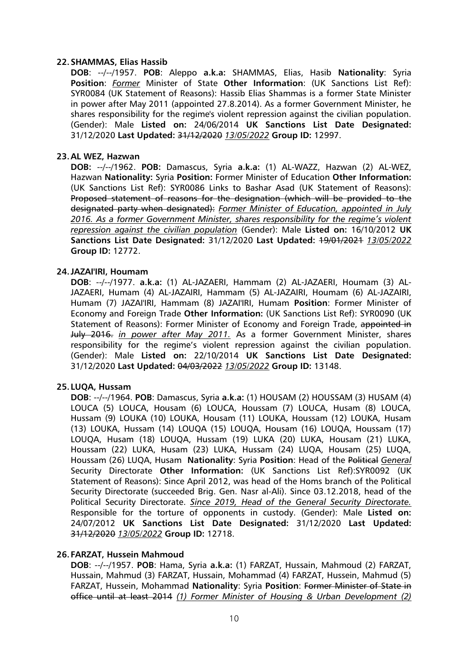#### **22.SHAMMAS, Elias Hassib**

**DOB**: --/--/1957. **POB**: Aleppo **a.k.a:** SHAMMAS, Elias, Hasib **Nationality**: Syria **Position**: *Former* Minister of State **Other Information**: (UK Sanctions List Ref): SYR0084 (UK Statement of Reasons): Hassib Elias Shammas is a former State Minister in power after May 2011 (appointed 27.8.2014). As a former Government Minister, he shares responsibility for the regime's violent repression against the civilian population. (Gender): Male **Listed on:** 24/06/2014 **UK Sanctions List Date Designated:** 31/12/2020 **Last Updated:** 31/12/2020 *13/05/2022* **Group ID:** 12997.

### **23.AL WEZ, Hazwan**

**DOB:** --/--/1962. **POB:** Damascus, Syria **a.k.a:** (1) AL-WAZZ, Hazwan (2) AL-WEZ, Hazwan **Nationality:** Syria **Position:** Former Minister of Education **Other Information:** (UK Sanctions List Ref): SYR0086 Links to Bashar Asad (UK Statement of Reasons): Proposed statement of reasons for the designation (which will be provided to the designated party when designated): *Former Minister of Education, appointed in July 2016. As a former Government Minister, shares responsibility for the regime's violent repression against the civilian population* (Gender): Male **Listed on:** 16/10/2012 **UK Sanctions List Date Designated:** 31/12/2020 **Last Updated:** 19/01/2021 *13/05/2022* **Group ID:** 12772.

### **24.JAZAI'IRI, Houmam**

**DOB**: --/--/1977. **a.k.a:** (1) AL-JAZAERI, Hammam (2) AL-JAZAERI, Houmam (3) AL-JAZAERI, Humam (4) AL-JAZAIRI, Hammam (5) AL-JAZAIRI, Houmam (6) AL-JAZAIRI, Humam (7) JAZAI'IRI, Hammam (8) JAZAI'IRI, Humam **Position**: Former Minister of Economy and Foreign Trade **Other Information:** (UK Sanctions List Ref): SYR0090 (UK Statement of Reasons): Former Minister of Economy and Foreign Trade, appointed in July 2016. *in power after May 2011.* As a former Government Minister, shares responsibility for the regime's violent repression against the civilian population. (Gender): Male **Listed on:** 22/10/2014 **UK Sanctions List Date Designated:** 31/12/2020 **Last Updated:** 04/03/2022 *13/05/2022* **Group ID:** 13148.

### **25. LUQA, Hussam**

**DOB**: --/--/1964. **POB**: Damascus, Syria **a.k.a:** (1) HOUSAM (2) HOUSSAM (3) HUSAM (4) LOUCA (5) LOUCA, Housam (6) LOUCA, Houssam (7) LOUCA, Husam (8) LOUCA, Hussam (9) LOUKA (10) LOUKA, Housam (11) LOUKA, Houssam (12) LOUKA, Husam (13) LOUKA, Hussam (14) LOUQA (15) LOUQA, Housam (16) LOUQA, Houssam (17) LOUQA, Husam (18) LOUQA, Hussam (19) LUKA (20) LUKA, Housam (21) LUKA, Houssam (22) LUKA, Husam (23) LUKA, Hussam (24) LUQA, Housam (25) LUQA, Houssam (26) LUQA, Husam **Nationality**: Syria **Position**: Head of the Political *General* Security Directorate **Other Information:** (UK Sanctions List Ref):SYR0092 (UK Statement of Reasons): Since April 2012, was head of the Homs branch of the Political Security Directorate (succeeded Brig. Gen. Nasr al-Ali). Since 03.12.2018, head of the Political Security Directorate. *Since 2019, Head of the General Security Directorate.* Responsible for the torture of opponents in custody. (Gender): Male **Listed on:**  24/07/2012 **UK Sanctions List Date Designated:** 31/12/2020 **Last Updated:** 31/12/2020 *13/05/2022* **Group ID:** 12718.

### **26. FARZAT, Hussein Mahmoud**

**DOB**: --/--/1957. **POB**: Hama, Syria **a.k.a:** (1) FARZAT, Hussain, Mahmoud (2) FARZAT, Hussain, Mahmud (3) FARZAT, Hussain, Mohammad (4) FARZAT, Hussein, Mahmud (5) FARZAT, Hussein, Mohammad **Nationality**: Syria **Position**: Former Minister of State in office until at least 2014 *(1) Former Minister of Housing & Urban Development (2)*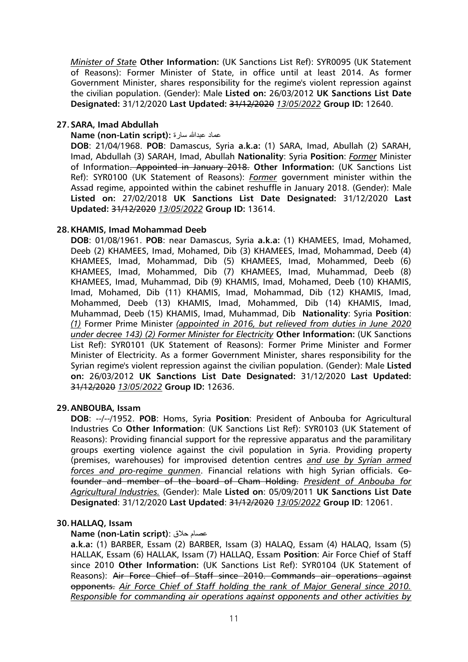*Minister of State* **Other Information:** (UK Sanctions List Ref): SYR0095 (UK Statement of Reasons): Former Minister of State, in office until at least 2014. As former Government Minister, shares responsibility for the regime's violent repression against the civilian population. (Gender): Male **Listed on:** 26/03/2012 **UK Sanctions List Date Designated:** 31/12/2020 **Last Updated:** 31/12/2020 *13/05/2022* **Group ID:** 12640.

# **27.SARA, Imad Abdullah**

### **Name (non-Latin script):** سارة عبدهللا عماد

**DOB**: 21/04/1968. **POB**: Damascus, Syria **a.k.a:** (1) SARA, Imad, Abullah (2) SARAH, Imad, Abdullah (3) SARAH, Imad, Abullah **Nationality**: Syria **Position**: *Former* Minister of Information. Appointed in January 2018. **Other Information:** (UK Sanctions List Ref): SYR0100 (UK Statement of Reasons): *Former* government minister within the Assad regime, appointed within the cabinet reshuffle in January 2018. (Gender): Male **Listed on:** 27/02/2018 **UK Sanctions List Date Designated:** 31/12/2020 **Last Updated:** 31/12/2020 *13/05/2022* **Group ID:** 13614.

### **28.KHAMIS, Imad Mohammad Deeb**

**DOB**: 01/08/1961. **POB**: near Damascus, Syria **a.k.a:** (1) KHAMEES, Imad, Mohamed, Deeb (2) KHAMEES, Imad, Mohamed, Dib (3) KHAMEES, Imad, Mohammad, Deeb (4) KHAMEES, Imad, Mohammad, Dib (5) KHAMEES, Imad, Mohammed, Deeb (6) KHAMEES, Imad, Mohammed, Dib (7) KHAMEES, Imad, Muhammad, Deeb (8) KHAMEES, Imad, Muhammad, Dib (9) KHAMIS, Imad, Mohamed, Deeb (10) KHAMIS, Imad, Mohamed, Dib (11) KHAMIS, Imad, Mohammad, Dib (12) KHAMIS, Imad, Mohammed, Deeb (13) KHAMIS, Imad, Mohammed, Dib (14) KHAMIS, Imad, Muhammad, Deeb (15) KHAMIS, Imad, Muhammad, Dib **Nationality**: Syria **Position**: *(1)* Former Prime Minister *(appointed in 2016, but relieved from duties in June 2020 under decree 143) (2) Former Minister for Electricity* **Other Information:** (UK Sanctions List Ref): SYR0101 (UK Statement of Reasons): Former Prime Minister and Former Minister of Electricity. As a former Government Minister, shares responsibility for the Syrian regime's violent repression against the civilian population. (Gender): Male **Listed on:** 26/03/2012 **UK Sanctions List Date Designated:** 31/12/2020 **Last Updated:** 31/12/2020 *13/05/2022* **Group ID:** 12636.

### **29.ANBOUBA, Issam**

**DOB**: --/--/1952. **POB**: Homs, Syria **Position**: President of Anbouba for Agricultural Industries Co **Other Information**: (UK Sanctions List Ref): SYR0103 (UK Statement of Reasons): Providing financial support for the repressive apparatus and the paramilitary groups exerting violence against the civil population in Syria. Providing property (premises, warehouses) for improvised detention centres *and use by Syrian armed forces and pro-regime gunmen*. Financial relations with high Syrian officials. Cofounder and member of the board of Cham Holding. *President of Anbouba for Agricultural Industries.* (Gender): Male **Listed on**: 05/09/2011 **UK Sanctions List Date Designated**: 31/12/2020 **Last Updated**: 31/12/2020 *13/05/2022* **Group ID**: 12061.

### **30.HALLAQ, Issam**

### **Name (non-Latin script)**: حالق عصام

**a.k.a:** (1) BARBER, Essam (2) BARBER, Issam (3) HALAQ, Essam (4) HALAQ, Issam (5) HALLAK, Essam (6) HALLAK, Issam (7) HALLAQ, Essam **Position**: Air Force Chief of Staff since 2010 **Other Information:** (UK Sanctions List Ref): SYR0104 (UK Statement of Reasons): Air Force Chief of Staff since 2010. Commands air operations against opponents. *Air Force Chief of Staff holding the rank of Major General since 2010. Responsible for commanding air operations against opponents and other activities by*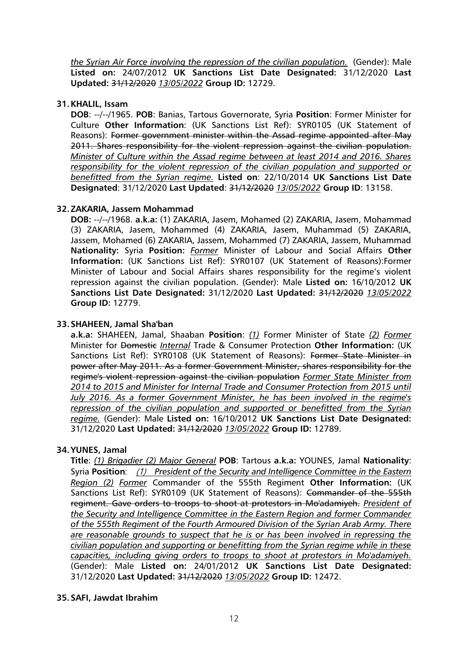*the Syrian Air Force involving the repression of the civilian population.* (Gender): Male **Listed on:** 24/07/2012 **UK Sanctions List Date Designated:** 31/12/2020 **Last Updated:** 31/12/2020 *13/05/2022* **Group ID:** 12729.

### **31.KHALIL, Issam**

**DOB**: --/--/1965. **POB**: Banias, Tartous Governorate, Syria **Position**: Former Minister for Culture **Other Information**: (UK Sanctions List Ref): SYR0105 (UK Statement of Reasons): Former government minister within the Assad regime appointed after May 2011. Shares responsibility for the violent repression against the civilian population. *Minister of Culture within the Assad regime between at least 2014 and 2016. Shares responsibility for the violent repression of the civilian population and supported or benefitted from the Syrian regime.* **Listed on**: 22/10/2014 **UK Sanctions List Date Designated**: 31/12/2020 **Last Updated**: 31/12/2020 *13/05/2022* **Group ID**: 13158.

### **32.ZAKARIA, Jassem Mohammad**

**DOB:** --/--/1968. **a.k.a:** (1) ZAKARIA, Jasem, Mohamed (2) ZAKARIA, Jasem, Mohammad (3) ZAKARIA, Jasem, Mohammed (4) ZAKARIA, Jasem, Muhammad (5) ZAKARIA, Jassem, Mohamed (6) ZAKARIA, Jassem, Mohammed (7) ZAKARIA, Jassem, Muhammad **Nationality:** Syria **Position:** *Former* Minister of Labour and Social Affairs **Other Information:** (UK Sanctions List Ref): SYR0107 (UK Statement of Reasons):Former Minister of Labour and Social Affairs shares responsibility for the regime's violent repression against the civilian population. (Gender): Male **Listed on:** 16/10/2012 **UK Sanctions List Date Designated:** 31/12/2020 **Last Updated:** 31/12/2020 *13/05/2022* **Group ID:** 12779.

# **33.SHAHEEN, Jamal Sha'ban**

**a.k.a:** SHAHEEN, Jamal, Shaaban **Position**: *(1)* Former Minister of State *(2) Former* Minister for Domestic *Internal* Trade & Consumer Protection **Other Information:** (UK Sanctions List Ref): SYR0108 (UK Statement of Reasons): Former State Minister in power after May 2011. As a former Government Minister, shares responsibility for the regime's violent repression against the civilian population *Former State Minister from 2014 to 2015 and Minister for Internal Trade and Consumer Protection from 2015 until July 2016. As a former Government Minister, he has been involved in the regime's repression of the civilian population and supported or benefitted from the Syrian regime.* (Gender): Male **Listed on:** 16/10/2012 **UK Sanctions List Date Designated:** 31/12/2020 **Last Updated:** 31/12/2020 *13/05/2022* **Group ID:** 12789.

### **34.YUNES, Jamal**

**Title**: *(1) Brigadier (2) Major General* **POB**: Tartous **a.k.a:** YOUNES, Jamal **Nationality**: Syria **Position**: (1) *President of the Security and Intelligence Committee in the Eastern Region (2) Former* Commander of the 555th Regiment **Other Information:** (UK Sanctions List Ref): SYR0109 (UK Statement of Reasons): <del>Commander of the 555th</del> regiment. Gave orders to troops to shoot at protestors in Mo'adamiyeh. *President of the Security and Intelligence Committee in the Eastern Region and former Commander of the 555th Regiment of the Fourth Armoured Division of the Syrian Arab Army. There are reasonable grounds to suspect that he is or has been involved in repressing the civilian population and supporting or benefitting from the Syrian regime while in these capacities, including giving orders to troops to shoot at protestors in Mo'adamiyeh.* (Gender): Male **Listed on:** 24/01/2012 **UK Sanctions List Date Designated:** 31/12/2020 **Last Updated:** 31/12/2020 *13/05/2022* **Group ID:** 12472.

# **35.SAFI, Jawdat Ibrahim**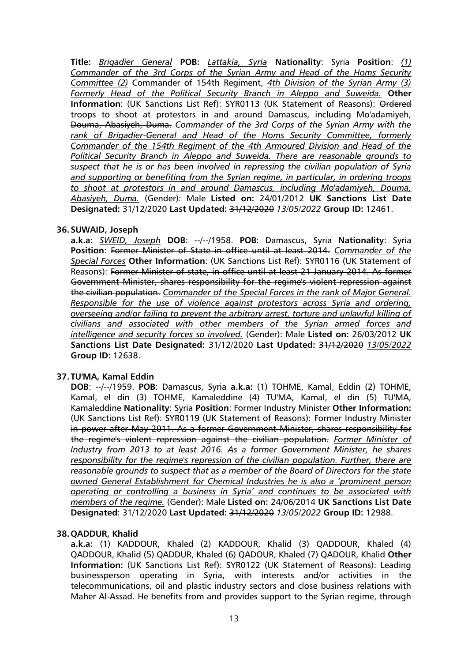**Title:** *Brigadier General* **POB:** *Lattakia, Syria* **Nationality**: Syria **Position**: *(1) Commander of the 3rd Corps of the Syrian Army and Head of the Homs Security Committee (2)* Commander of 154th Regiment, *4th Division of the Syrian Army (3) Formerly Head of the Political Security Branch in Aleppo and Suweida.* **Other Information**: (UK Sanctions List Ref): SYR0113 (UK Statement of Reasons): Ordered troops to shoot at protestors in and around Damascus, including Mo'adamiyeh, Douma, Abasiyeh, Duma. *Commander of the 3rd Corps of the Syrian Army with the rank of Brigadier-General and Head of the Homs Security Committee, formerly Commander of the 154th Regiment of the 4th Armoured Division and Head of the Political Security Branch in Aleppo and Suweida. There are reasonable grounds to suspect that he is or has been involved in repressing the civilian population of Syria and supporting or benefiting from the Syrian regime, in particular, in ordering troops to shoot at protestors in and around Damascus, including Mo'adamiyeh, Douma, Abasiyeh, Duma.* (Gender): Male **Listed on:** 24/01/2012 **UK Sanctions List Date Designated:** 31/12/2020 **Last Updated:** 31/12/2020 *13/05/2022* **Group ID:** 12461.

### **36.SUWAID, Joseph**

**a.k.a:** *SWEID, Joseph* **DOB**: --/--/1958. **POB**: Damascus, Syria **Nationality**: Syria **Position**: Former Minister of State in office until at least 2014. *Commander of the Special Forces* **Other Information**: (UK Sanctions List Ref): SYR0116 (UK Statement of Reasons): Former Minister of state, in office until at least 21 January 2014. As former Government Minister, shares responsibility for the regime's violent repression against the civilian population. *Commander of the Special Forces in the rank of Major General. Responsible for the use of violence against protestors across Syria and ordering, overseeing and/or failing to prevent the arbitrary arrest, torture and unlawful killing of civilians and associated with other members of the Syrian armed forces and intelligence and security forces so involved.* (Gender): Male **Listed on:** 26/03/2012 **UK Sanctions List Date Designated:** 31/12/2020 **Last Updated:** 31/12/2020 *13/05/2022* **Group ID:** 12638.

### **37. TU'MA, Kamal Eddin**

**DOB**: --/--/1959. **POB**: Damascus, Syria **a.k.a:** (1) TOHME, Kamal, Eddin (2) TOHME, Kamal, el din (3) TOHME, Kamaleddine (4) TU'MA, Kamal, el din (5) TU'MA, Kamaleddine **Nationality**: Syria **Position**: Former Industry Minister **Other Information:** (UK Sanctions List Ref): SYR0119 (UK Statement of Reasons): Former Industry Minister in power after May 2011. As a former Government Minister, shares responsibility for the regime's violent repression against the civilian population. *Former Minister of Industry from 2013 to at least 2016. As a former Government Minister, he shares responsibility for the regime's repression of the civilian population. Further, there are reasonable grounds to suspect that as a member of the Board of Directors for the state owned General Establishment for Chemical Industries he is also a 'prominent person operating or controlling a business in Syria' and continues to be associated with members of the regime.* (Gender): Male **Listed on:** 24/06/2014 **UK Sanctions List Date Designated**: 31/12/2020 **Last Updated:** 31/12/2020 *13/05/2022* **Group ID:** 12988.

### **38.QADDUR, Khalid**

**a.k.a:** (1) KADDOUR, Khaled (2) KADDOUR, Khalid (3) QADDOUR, Khaled (4) QADDOUR, Khalid (5) QADDUR, Khaled (6) QADOUR, Khaled (7) QADOUR, Khalid **Other Information:** (UK Sanctions List Ref): SYR0122 (UK Statement of Reasons): Leading businessperson operating in Syria, with interests and/or activities in the telecommunications, oil and plastic industry sectors and close business relations with Maher Al-Assad. He benefits from and provides support to the Syrian regime, through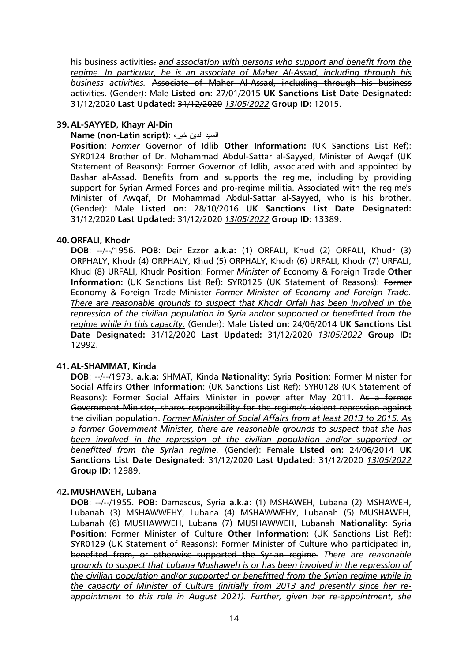his business activities- and association with persons who support and benefit from the *regime. In particular, he is an associate of Maher Al-Assad, including through his business activities.* Associate of Maher Al-Assad, including through his business activities. (Gender): Male **Listed on:** 27/01/2015 **UK Sanctions List Date Designated:** 31/12/2020 **Last Updated:** 31/12/2020 *13/05/2022* **Group ID:** 12015.

### **39.AL-SAYYED, Khayr Al-Din**

### **Name (non-Latin script)**: ، خير الدين السيد

**Position**: *Former* Governor of Idlib **Other Information:** (UK Sanctions List Ref): SYR0124 Brother of Dr. Mohammad Abdul-Sattar al-Sayyed, Minister of Awqaf (UK Statement of Reasons): Former Governor of Idlib, associated with and appointed by Bashar al-Assad. Benefits from and supports the regime, including by providing support for Syrian Armed Forces and pro-regime militia. Associated with the regime's Minister of Awqaf, Dr Mohammad Abdul-Sattar al-Sayyed, who is his brother. (Gender): Male **Listed on:** 28/10/2016 **UK Sanctions List Date Designated:** 31/12/2020 **Last Updated:** 31/12/2020 *13/05/2022* **Group ID:** 13389.

### **40.ORFALI, Khodr**

**DOB**: --/--/1956. **POB**: Deir Ezzor **a.k.a:** (1) ORFALI, Khud (2) ORFALI, Khudr (3) ORPHALY, Khodr (4) ORPHALY, Khud (5) ORPHALY, Khudr (6) URFALI, Khodr (7) URFALI, Khud (8) URFALI, Khudr **Position**: Former *Minister of* Economy & Foreign Trade **Other**  Information: (UK Sanctions List Ref): SYR0125 (UK Statement of Reasons): Former Economy & Foreign Trade Minister *Former Minister of Economy and Foreign Trade. There are reasonable grounds to suspect that Khodr Orfali has been involved in the repression of the civilian population in Syria and/or supported or benefitted from the regime while in this capacity.* (Gender): Male **Listed on:** 24/06/2014 **UK Sanctions List Date Designated:** 31/12/2020 **Last Updated:** 31/12/2020 *13/05/2022* **Group ID:** 12992.

### **41.AL-SHAMMAT, Kinda**

**DOB**: --/--/1973. **a.k.a:** SHMAT, Kinda **Nationality**: Syria **Position**: Former Minister for Social Affairs **Other Information**: (UK Sanctions List Ref): SYR0128 (UK Statement of Reasons): Former Social Affairs Minister in power after May 2011. As a former Government Minister, shares responsibility for the regime's violent repression against the civilian population. *Former Minister of Social Affairs from at least 2013 to 2015. As a former Government Minister, there are reasonable grounds to suspect that she has been involved in the repression of the civilian population and/or supported or benefitted from the Syrian regime.* (Gender): Female **Listed on:** 24/06/2014 **UK Sanctions List Date Designated:** 31/12/2020 **Last Updated:** 31/12/2020 *13/05/2022* **Group ID:** 12989.

### **42.MUSHAWEH, Lubana**

**DOB**: --/--/1955. **POB**: Damascus, Syria **a.k.a:** (1) MSHAWEH, Lubana (2) MSHAWEH, Lubanah (3) MSHAWWEHY, Lubana (4) MSHAWWEHY, Lubanah (5) MUSHAWEH, Lubanah (6) MUSHAWWEH, Lubana (7) MUSHAWWEH, Lubanah **Nationality**: Syria **Position**: Former Minister of Culture **Other Information:** (UK Sanctions List Ref): SYR0129 (UK Statement of Reasons): Former Minister of Culture who participated in, benefited from, or otherwise supported the Syrian regime. *There are reasonable grounds to suspect that Lubana Mushaweh is or has been involved in the repression of the civilian population and/or supported or benefitted from the Syrian regime while in the capacity of Minister of Culture (initially from 2013 and presently since her reappointment to this role in August 2021). Further, given her re-appointment, she*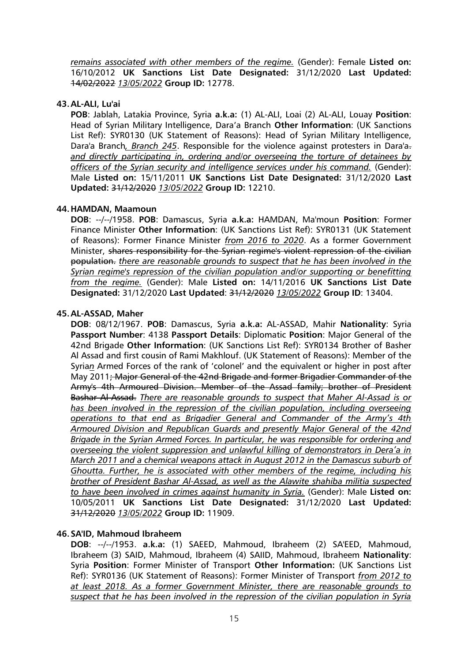*remains associated with other members of the regime.* (Gender): Female **Listed on:** 16/10/2012 **UK Sanctions List Date Designated:** 31/12/2020 **Last Updated:**  14/02/2022 *13/05/2022* **Group ID:** 12778.

### **43.AL-ALI, Lu'ai**

**POB**: Jablah, Latakia Province, Syria **a.k.a:** (1) AL-ALI, Loai (2) AL-ALI, Louay **Position**: Head of Syrian Military Intelligence, Dara'a Branch **Other Information**: (UK Sanctions List Ref): SYR0130 (UK Statement of Reasons): Head of Syrian Military Intelligence, Dara'a Branch*, Branch 245*. Responsible for the violence against protesters in Dara'a. *and directly participating in, ordering and/or overseeing the torture of detainees by officers of the Syrian security and intelligence services under his command.* (Gender): Male **Listed on:** 15/11/2011 **UK Sanctions List Date Designated:** 31/12/2020 **Last Updated:** 31/12/2020 *13/05/2022* **Group ID:** 12210.

### **44.HAMDAN, Maamoun**

**DOB**: --/--/1958. **POB**: Damascus, Syria **a.k.a:** HAMDAN, Ma'moun **Position**: Former Finance Minister **Other Information**: (UK Sanctions List Ref): SYR0131 (UK Statement of Reasons): Former Finance Minister *from 2016 to 2020*. As a former Government Minister, shares responsibility for the Syrian regime's violent repression of the civilian population. *there are reasonable grounds to suspect that he has been involved in the Syrian regime's repression of the civilian population and/or supporting or benefitting from the regime.* (Gender): Male **Listed on:** 14/11/2016 **UK Sanctions List Date Designated:** 31/12/2020 **Last Updated**: 31/12/2020 *13/05/2022* **Group ID**: 13404.

### **45.AL-ASSAD, Maher**

**DOB**: 08/12/1967. **POB**: Damascus, Syria **a.k.a:** AL-ASSAD, Mahir **Nationality**: Syria **Passport Number**: 4138 **Passport Details**: Diplomatic **Position**: Major General of the 42nd Brigade **Other Information**: (UK Sanctions List Ref): SYR0134 Brother of Basher Al Assad and first cousin of Rami Makhlouf. (UK Statement of Reasons): Member of the Syria*n* Armed Forces of the rank of 'colonel' and the equivalent or higher in post after May 2011; Major General of the 42nd Brigade and former Brigadier Commander of the Army's 4th Armoured Division. Member of the Assad family; brother of President Bashar Al-Assad. *There are reasonable grounds to suspect that Maher Al-Assad is or has been involved in the repression of the civilian population, including overseeing operations to that end as Brigadier General and Commander of the Army's 4th Armoured Division and Republican Guards and presently Major General of the 42nd Brigade in the Syrian Armed Forces. In particular, he was responsible for ordering and overseeing the violent suppression and unlawful killing of demonstrators in Dera'a in March 2011 and a chemical weapons attack in August 2012 in the Damascus suburb of Ghoutta. Further, he is associated with other members of the regime, including his brother of President Bashar Al-Assad, as well as the Alawite shahiba militia suspected to have been involved in crimes against humanity in Syria.* (Gender): Male **Listed on:** 10/05/2011 **UK Sanctions List Date Designated:** 31/12/2020 **Last Updated:** 31/12/2020 *13/05/2022* **Group ID:** 11909.

### **46.SA'ID, Mahmoud Ibraheem**

**DOB**: --/--/1953. **a.k.a:** (1) SAEED, Mahmoud, Ibraheem (2) SA'EED, Mahmoud, Ibraheem (3) SAID, Mahmoud, Ibraheem (4) SAIID, Mahmoud, Ibraheem **Nationality**: Syria **Position**: Former Minister of Transport **Other Information:** (UK Sanctions List Ref): SYR0136 (UK Statement of Reasons): Former Minister of Transport *from 2012 to at least 2018. As a former Government Minister, there are reasonable grounds to suspect that he has been involved in the repression of the civilian population in Syria*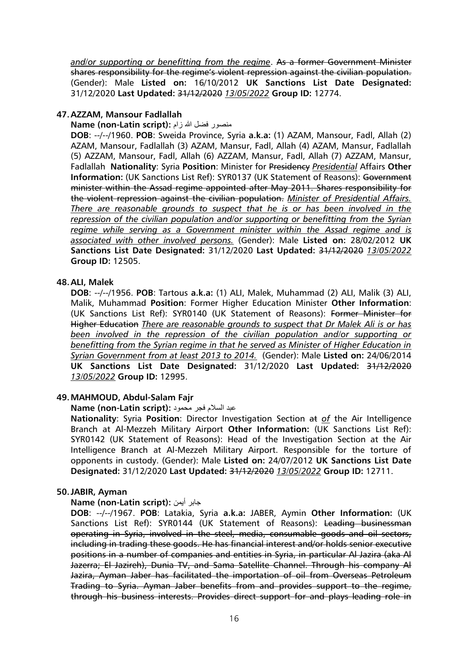*and/or supporting or benefitting from the regime*. As a former Government Minister shares responsibility for the regime's violent repression against the civilian population. (Gender): Male **Listed on:** 16/10/2012 **UK Sanctions List Date Designated:** 31/12/2020 **Last Updated:** 31/12/2020 *13/05/2022* **Group ID:** 12774.

### **47.AZZAM, Mansour Fadlallah**

#### **Mame (non-Latin script):** منصور فضل الله زام

**DOB**: --/--/1960. **POB**: Sweida Province, Syria **a.k.a:** (1) AZAM, Mansour, Fadl, Allah (2) AZAM, Mansour, Fadlallah (3) AZAM, Mansur, Fadl, Allah (4) AZAM, Mansur, Fadlallah (5) AZZAM, Mansour, Fadl, Allah (6) AZZAM, Mansur, Fadl, Allah (7) AZZAM, Mansur, Fadlallah **Nationality**: Syria **Position**: Minister for Presidency *Presidential* Affairs **Other Information:** (UK Sanctions List Ref): SYR0137 (UK Statement of Reasons): Government minister within the Assad regime appointed after May 2011. Shares responsibility for the violent repression against the civilian population. *Minister of Presidential Affairs. There are reasonable grounds to suspect that he is or has been involved in the repression of the civilian population and/or supporting or benefitting from the Syrian regime while serving as a Government minister within the Assad regime and is associated with other involved persons.* (Gender): Male **Listed on:** 28/02/2012 **UK Sanctions List Date Designated:** 31/12/2020 **Last Updated:** 31/12/2020 *13/05/2022* **Group ID:** 12505.

### **48.ALI, Malek**

**DOB**: --/--/1956. **POB**: Tartous **a.k.a:** (1) ALI, Malek, Muhammad (2) ALI, Malik (3) ALI, Malik, Muhammad **Position**: Former Higher Education Minister **Other Information**: (UK Sanctions List Ref): SYR0140 (UK Statement of Reasons): Former Minister for Higher Education *There are reasonable grounds to suspect that Dr Malek Ali is or has been involved in the repression of the civilian population and/or supporting or benefitting from the Syrian regime in that he served as Minister of Higher Education in Syrian Government from at least 2013 to 2014.* (Gender): Male **Listed on:** 24/06/2014 **UK Sanctions List Date Designated:** 31/12/2020 **Last Updated:** 31/12/2020 *13/05/2022* **Group ID:** 12995.

### **49.MAHMOUD, Abdul-Salam Fajr**

عبد السالم فجر محمود **:(script Latin-non (Name**

**Nationality**: Syria **Position**: Director Investigation Section at *of* the Air Intelligence Branch at Al-Mezzeh Military Airport **Other Information:** (UK Sanctions List Ref): SYR0142 (UK Statement of Reasons): Head of the Investigation Section at the Air Intelligence Branch at Al-Mezzeh Military Airport. Responsible for the torture of opponents in custody. (Gender): Male **Listed on:** 24/07/2012 **UK Sanctions List Date Designated:** 31/12/2020 **Last Updated:** 31/12/2020 *13/05/2022* **Group ID:** 12711.

### **50.JABIR, Ayman**

### **Name (non-Latin script):** أيمن جابر

**DOB**: --/--/1967. **POB**: Latakia, Syria **a.k.a:** JABER, Aymin **Other Information:** (UK Sanctions List Ref): SYR0144 (UK Statement of Reasons): Leading businessman operating in Syria, involved in the steel, media, consumable goods and oil sectors, including in trading these goods. He has financial interest and/or holds senior executive positions in a number of companies and entities in Syria, in particular Al Jazira (aka Al Jazerra; El Jazireh), Dunia TV, and Sama Satellite Channel. Through his company Al Jazira, Ayman Jaber has facilitated the importation of oil from Overseas Petroleum Trading to Syria. Ayman Jaber benefits from and provides support to the regime, through his business interests. Provides direct support for and plays leading role in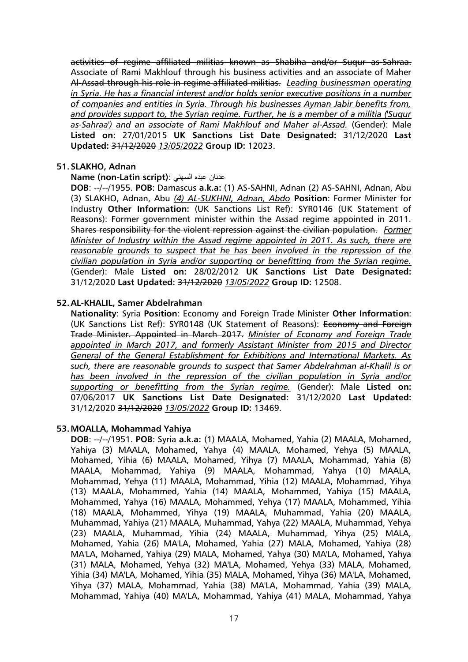activities of regime affiliated militias known as Shabiha and/or Suqur as-Sahraa. Associate of Rami Makhlouf through his business activities and an associate of Maher Al-Assad through his role in regime affiliated militias. *Leading businessman operating in Syria. He has a financial interest and/or holds senior executive positions in a number of companies and entities in Syria. Through his businesses Ayman Jabir benefits from, and provides support to, the Syrian regime. Further, he is a member of a militia ('Sugur as-Sahraa') and an associate of Rami Makhlouf and Maher al-Assad.* (Gender): Male **Listed on:** 27/01/2015 **UK Sanctions List Date Designated:** 31/12/2020 **Last Updated:** 31/12/2020 *13/05/2022* **Group ID:** 12023.

### **51.SLAKHO, Adnan**

### **Name (non-Latin script)**: السهني عبده عدنان

**DOB**: --/--/1955. **POB**: Damascus **a.k.a:** (1) AS-SAHNI, Adnan (2) AS-SAHNI, Adnan, Abu (3) SLAKHO, Adnan, Abu *(4) AL-SUKHNI, Adnan, Abdo* **Position**: Former Minister for Industry **Other Information:** (UK Sanctions List Ref): SYR0146 (UK Statement of Reasons): Former government minister within the Assad regime appointed in 2011. Shares responsibility for the violent repression against the civilian population. *Former Minister of Industry within the Assad regime appointed in 2011. As such, there are reasonable grounds to suspect that he has been involved in the repression of the civilian population in Syria and/or supporting or benefitting from the Syrian regime.* (Gender): Male **Listed on:** 28/02/2012 **UK Sanctions List Date Designated:** 31/12/2020 **Last Updated:** 31/12/2020 *13/05/2022* **Group ID:** 12508.

### **52.AL-KHALIL, Samer Abdelrahman**

**Nationality**: Syria **Position**: Economy and Foreign Trade Minister **Other Information**: (UK Sanctions List Ref): SYR0148 (UK Statement of Reasons): Economy and Foreign Trade Minister. Appointed in March 2017. *Minister of Economy and Foreign Trade appointed in March 2017, and formerly Assistant Minister from 2015 and Director General of the General Establishment for Exhibitions and International Markets. As such, there are reasonable grounds to suspect that Samer Abdelrahman al-Khalil is or has been involved in the repression of the civilian population in Syria and/or supporting or benefitting from the Syrian regime.* (Gender): Male **Listed on:** 07/06/2017 **UK Sanctions List Date Designated:** 31/12/2020 **Last Updated:** 31/12/2020 31/12/2020 *13/05/2022* **Group ID:** 13469.

### **53.MOALLA, Mohammad Yahiya**

**DOB**: --/--/1951. **POB**: Syria **a.k.a:** (1) MAALA, Mohamed, Yahia (2) MAALA, Mohamed, Yahiya (3) MAALA, Mohamed, Yahya (4) MAALA, Mohamed, Yehya (5) MAALA, Mohamed, Yihia (6) MAALA, Mohamed, Yihya (7) MAALA, Mohammad, Yahia (8) MAALA, Mohammad, Yahiya (9) MAALA, Mohammad, Yahya (10) MAALA, Mohammad, Yehya (11) MAALA, Mohammad, Yihia (12) MAALA, Mohammad, Yihya (13) MAALA, Mohammed, Yahia (14) MAALA, Mohammed, Yahiya (15) MAALA, Mohammed, Yahya (16) MAALA, Mohammed, Yehya (17) MAALA, Mohammed, Yihia (18) MAALA, Mohammed, Yihya (19) MAALA, Muhammad, Yahia (20) MAALA, Muhammad, Yahiya (21) MAALA, Muhammad, Yahya (22) MAALA, Muhammad, Yehya (23) MAALA, Muhammad, Yihia (24) MAALA, Muhammad, Yihya (25) MALA, Mohamed, Yahia (26) MA'LA, Mohamed, Yahia (27) MALA, Mohamed, Yahiya (28) MA'LA, Mohamed, Yahiya (29) MALA, Mohamed, Yahya (30) MA'LA, Mohamed, Yahya (31) MALA, Mohamed, Yehya (32) MA'LA, Mohamed, Yehya (33) MALA, Mohamed, Yihia (34) MA'LA, Mohamed, Yihia (35) MALA, Mohamed, Yihya (36) MA'LA, Mohamed, Yihya (37) MALA, Mohammad, Yahia (38) MA'LA, Mohammad, Yahia (39) MALA, Mohammad, Yahiya (40) MA'LA, Mohammad, Yahiya (41) MALA, Mohammad, Yahya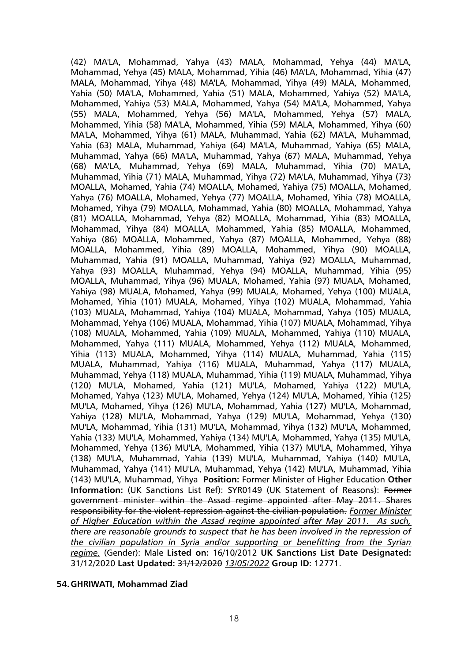(42) MA'LA, Mohammad, Yahya (43) MALA, Mohammad, Yehya (44) MA'LA, Mohammad, Yehya (45) MALA, Mohammad, Yihia (46) MA'LA, Mohammad, Yihia (47) MALA, Mohammad, Yihya (48) MA'LA, Mohammad, Yihya (49) MALA, Mohammed, Yahia (50) MA'LA, Mohammed, Yahia (51) MALA, Mohammed, Yahiya (52) MA'LA, Mohammed, Yahiya (53) MALA, Mohammed, Yahya (54) MA'LA, Mohammed, Yahya (55) MALA, Mohammed, Yehya (56) MA'LA, Mohammed, Yehya (57) MALA, Mohammed, Yihia (58) MA'LA, Mohammed, Yihia (59) MALA, Mohammed, Yihya (60) MA'LA, Mohammed, Yihya (61) MALA, Muhammad, Yahia (62) MA'LA, Muhammad, Yahia (63) MALA, Muhammad, Yahiya (64) MA'LA, Muhammad, Yahiya (65) MALA, Muhammad, Yahya (66) MA'LA, Muhammad, Yahya (67) MALA, Muhammad, Yehya (68) MA'LA, Muhammad, Yehya (69) MALA, Muhammad, Yihia (70) MA'LA, Muhammad, Yihia (71) MALA, Muhammad, Yihya (72) MA'LA, Muhammad, Yihya (73) MOALLA, Mohamed, Yahia (74) MOALLA, Mohamed, Yahiya (75) MOALLA, Mohamed, Yahya (76) MOALLA, Mohamed, Yehya (77) MOALLA, Mohamed, Yihia (78) MOALLA, Mohamed, Yihya (79) MOALLA, Mohammad, Yahia (80) MOALLA, Mohammad, Yahya (81) MOALLA, Mohammad, Yehya (82) MOALLA, Mohammad, Yihia (83) MOALLA, Mohammad, Yihya (84) MOALLA, Mohammed, Yahia (85) MOALLA, Mohammed, Yahiya (86) MOALLA, Mohammed, Yahya (87) MOALLA, Mohammed, Yehya (88) MOALLA, Mohammed, Yihia (89) MOALLA, Mohammed, Yihya (90) MOALLA, Muhammad, Yahia (91) MOALLA, Muhammad, Yahiya (92) MOALLA, Muhammad, Yahya (93) MOALLA, Muhammad, Yehya (94) MOALLA, Muhammad, Yihia (95) MOALLA, Muhammad, Yihya (96) MUALA, Mohamed, Yahia (97) MUALA, Mohamed, Yahiya (98) MUALA, Mohamed, Yahya (99) MUALA, Mohamed, Yehya (100) MUALA, Mohamed, Yihia (101) MUALA, Mohamed, Yihya (102) MUALA, Mohammad, Yahia (103) MUALA, Mohammad, Yahiya (104) MUALA, Mohammad, Yahya (105) MUALA, Mohammad, Yehya (106) MUALA, Mohammad, Yihia (107) MUALA, Mohammad, Yihya (108) MUALA, Mohammed, Yahia (109) MUALA, Mohammed, Yahiya (110) MUALA, Mohammed, Yahya (111) MUALA, Mohammed, Yehya (112) MUALA, Mohammed, Yihia (113) MUALA, Mohammed, Yihya (114) MUALA, Muhammad, Yahia (115) MUALA, Muhammad, Yahiya (116) MUALA, Muhammad, Yahya (117) MUALA, Muhammad, Yehya (118) MUALA, Muhammad, Yihia (119) MUALA, Muhammad, Yihya (120) MU'LA, Mohamed, Yahia (121) MU'LA, Mohamed, Yahiya (122) MU'LA, Mohamed, Yahya (123) MU'LA, Mohamed, Yehya (124) MU'LA, Mohamed, Yihia (125) MU'LA, Mohamed, Yihya (126) MU'LA, Mohammad, Yahia (127) MU'LA, Mohammad, Yahiya (128) MU'LA, Mohammad, Yahya (129) MU'LA, Mohammad, Yehya (130) MU'LA, Mohammad, Yihia (131) MU'LA, Mohammad, Yihya (132) MU'LA, Mohammed, Yahia (133) MU'LA, Mohammed, Yahiya (134) MU'LA, Mohammed, Yahya (135) MU'LA, Mohammed, Yehya (136) MU'LA, Mohammed, Yihia (137) MU'LA, Mohammed, Yihya (138) MU'LA, Muhammad, Yahia (139) MU'LA, Muhammad, Yahiya (140) MU'LA, Muhammad, Yahya (141) MU'LA, Muhammad, Yehya (142) MU'LA, Muhammad, Yihia (143) MU'LA, Muhammad, Yihya **Position:** Former Minister of Higher Education **Other Information:** (UK Sanctions List Ref): SYR0149 (UK Statement of Reasons): Former government minister within the Assad regime appointed after May 2011. Shares responsibility for the violent repression against the civilian population. *Former Minister of Higher Education within the Assad regime appointed after May 2011. As such, there are reasonable grounds to suspect that he has been involved in the repression of the civilian population in Syria and/or supporting or benefitting from the Syrian regime.* (Gender): Male **Listed on:** 16/10/2012 **UK Sanctions List Date Designated:** 31/12/2020 **Last Updated:** 31/12/2020 *13/05/2022* **Group ID:** 12771.

#### **54.GHRIWATI, Mohammad Ziad**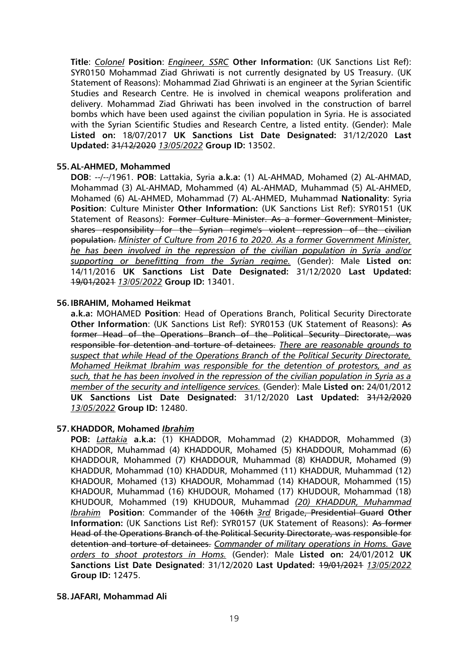**Title**: *Colonel* **Position**: *Engineer, SSRC* **Other Information:** (UK Sanctions List Ref): SYR0150 Mohammad Ziad Ghriwati is not currently designated by US Treasury. (UK Statement of Reasons): Mohammad Ziad Ghriwati is an engineer at the Syrian Scientific Studies and Research Centre. He is involved in chemical weapons proliferation and delivery. Mohammad Ziad Ghriwati has been involved in the construction of barrel bombs which have been used against the civilian population in Syria. He is associated with the Syrian Scientific Studies and Research Centre, a listed entity. (Gender): Male **Listed on:** 18/07/2017 **UK Sanctions List Date Designated:** 31/12/2020 **Last Updated:** 31/12/2020 *13/05/2022* **Group ID:** 13502.

### **55.AL-AHMED, Mohammed**

**DOB**: --/--/1961. **POB**: Lattakia, Syria **a.k.a:** (1) AL-AHMAD, Mohamed (2) AL-AHMAD, Mohammad (3) AL-AHMAD, Mohammed (4) AL-AHMAD, Muhammad (5) AL-AHMED, Mohamed (6) AL-AHMED, Mohammad (7) AL-AHMED, Muhammad **Nationality**: Syria **Position**: Culture Minister **Other Information:** (UK Sanctions List Ref): SYR0151 (UK Statement of Reasons): Former Culture Minister. As a former Government Minister, shares responsibility for the Syrian regime's violent repression of the civilian population. *Minister of Culture from 2016 to 2020. As a former Government Minister, he has been involved in the repression of the civilian population in Syria and/or supporting or benefitting from the Syrian regime.* (Gender): Male **Listed on:** 14/11/2016 **UK Sanctions List Date Designated:** 31/12/2020 **Last Updated:** 19/01/2021 *13/05/2022* **Group ID:** 13401.

#### **56.IBRAHIM, Mohamed Heikmat**

**a.k.a:** MOHAMED **Position**: Head of Operations Branch, Political Security Directorate **Other Information**: (UK Sanctions List Ref): SYR0153 (UK Statement of Reasons): As former Head of the Operations Branch of the Political Security Directorate, was responsible for detention and torture of detainees. *There are reasonable grounds to suspect that while Head of the Operations Branch of the Political Security Directorate, Mohamed Heikmat Ibrahim was responsible for the detention of protestors, and as such, that he has been involved in the repression of the civilian population in Syria as a member of the security and intelligence services.* (Gender): Male **Listed on:** 24/01/2012 **UK Sanctions List Date Designated:** 31/12/2020 **Last Updated:** 31/12/2020 *13/05/2022* **Group ID:** 12480.

#### **57.KHADDOR, Mohamed** *Ibrahim*

**POB:** *Lattakia* **a.k.a:** (1) KHADDOR, Mohammad (2) KHADDOR, Mohammed (3) KHADDOR, Muhammad (4) KHADDOUR, Mohamed (5) KHADDOUR, Mohammad (6) KHADDOUR, Mohammed (7) KHADDOUR, Muhammad (8) KHADDUR, Mohamed (9) KHADDUR, Mohammad (10) KHADDUR, Mohammed (11) KHADDUR, Muhammad (12) KHADOUR, Mohamed (13) KHADOUR, Mohammad (14) KHADOUR, Mohammed (15) KHADOUR, Muhammad (16) KHUDOUR, Mohamed (17) KHUDOUR, Mohammad (18) KHUDOUR, Mohammed (19) KHUDOUR, Muhammad *(20) KHADDUR, Muhammad Ibrahim* **Position**: Commander of the 106th *3rd* Brigade, Presidential Guard **Other Information:** (UK Sanctions List Ref): SYR0157 (UK Statement of Reasons): As former Head of the Operations Branch of the Political Security Directorate, was responsible for detention and torture of detainees. *Commander of military operations in Homs. Gave orders to shoot protestors in Homs.* (Gender): Male **Listed on:** 24/01/2012 **UK Sanctions List Date Designated**: 31/12/2020 **Last Updated:** 19/01/2021 *13/05/2022* **Group ID:** 12475.

#### **58.JAFARI, Mohammad Ali**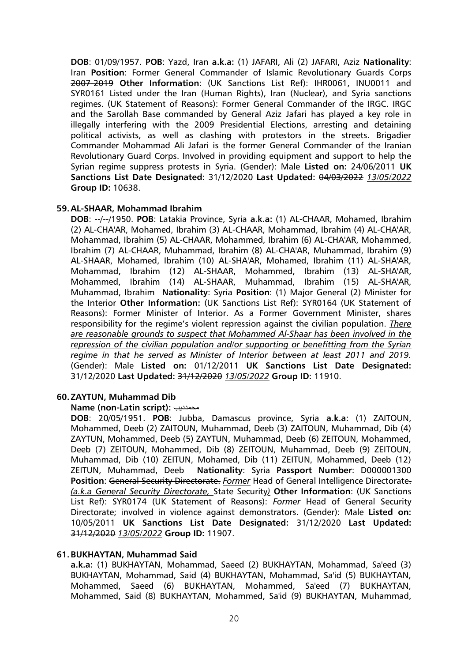**DOB**: 01/09/1957. **POB**: Yazd, Iran **a.k.a:** (1) JAFARI, Ali (2) JAFARI, Aziz **Nationality**: Iran **Position**: Former General Commander of Islamic Revolutionary Guards Corps 2007-2019 **Other Information**: (UK Sanctions List Ref): IHR0061, INU0011 and SYR0161 Listed under the Iran (Human Rights), Iran (Nuclear), and Syria sanctions regimes. (UK Statement of Reasons): Former General Commander of the IRGC. IRGC and the Sarollah Base commanded by General Aziz Jafari has played a key role in illegally interfering with the 2009 Presidential Elections, arresting and detaining political activists, as well as clashing with protestors in the streets. Brigadier Commander Mohammad Ali Jafari is the former General Commander of the Iranian Revolutionary Guard Corps. Involved in providing equipment and support to help the Syrian regime suppress protests in Syria. (Gender): Male **Listed on:** 24/06/2011 **UK Sanctions List Date Designated:** 31/12/2020 **Last Updated:** 04/03/2022 *13/05/2022* **Group ID:** 10638.

### **59.AL-SHAAR, Mohammad Ibrahim**

**DOB**: --/--/1950. **POB**: Latakia Province, Syria **a.k.a:** (1) AL-CHAAR, Mohamed, Ibrahim (2) AL-CHA'AR, Mohamed, Ibrahim (3) AL-CHAAR, Mohammad, Ibrahim (4) AL-CHA'AR, Mohammad, Ibrahim (5) AL-CHAAR, Mohammed, Ibrahim (6) AL-CHA'AR, Mohammed, Ibrahim (7) AL-CHAAR, Muhammad, Ibrahim (8) AL-CHA'AR, Muhammad, Ibrahim (9) AL-SHAAR, Mohamed, Ibrahim (10) AL-SHA'AR, Mohamed, Ibrahim (11) AL-SHA'AR, Mohammad, Ibrahim (12) AL-SHAAR, Mohammed, Ibrahim (13) AL-SHA'AR, Mohammed, Ibrahim (14) AL-SHAAR, Muhammad, Ibrahim (15) AL-SHA'AR, Muhammad, Ibrahim **Nationality**: Syria **Position**: (1) Major General (2) Minister for the Interior **Other Information:** (UK Sanctions List Ref): SYR0164 (UK Statement of Reasons): Former Minister of Interior. As a Former Government Minister, shares responsibility for the regime's violent repression against the civilian population. *There are reasonable grounds to suspect that Mohammed Al-Shaar has been involved in the repression of the civilian population and/or supporting or benefitting from the Syrian regime in that he served as Minister of Interior between at least 2011 and 2019.* (Gender): Male **Listed on:** 01/12/2011 **UK Sanctions List Date Designated:** 31/12/2020 **Last Updated:** 31/12/2020 *13/05/2022* **Group ID:** 11910.

### **60.ZAYTUN, Muhammad Dib**

**Name (non-Latin script):** محمدديب

**DOB**: 20/05/1951. **POB**: Jubba, Damascus province, Syria **a.k.a:** (1) ZAITOUN, Mohammed, Deeb (2) ZAITOUN, Muhammad, Deeb (3) ZAITOUN, Muhammad, Dib (4) ZAYTUN, Mohammed, Deeb (5) ZAYTUN, Muhammad, Deeb (6) ZEITOUN, Mohammed, Deeb (7) ZEITOUN, Mohammed, Dib (8) ZEITOUN, Muhammad, Deeb (9) ZEITOUN, Muhammad, Dib (10) ZEITUN, Mohamed, Dib (11) ZEITUN, Mohammed, Deeb (12) ZEITUN, Muhammad, Deeb **Nationality**: Syria **Passport Number**: D000001300 **Position**: General Security Directorate. *Former* Head of General Intelligence Directorate. *(a.k.a General Security Directorate,* State Security*)* **Other Information**: (UK Sanctions List Ref): SYR0174 (UK Statement of Reasons): *Former* Head of General Security Directorate; involved in violence against demonstrators. (Gender): Male **Listed on:** 10/05/2011 **UK Sanctions List Date Designated:** 31/12/2020 **Last Updated:**  31/12/2020 *13/05/2022* **Group ID:** 11907.

#### **61.BUKHAYTAN, Muhammad Said**

**a.k.a:** (1) BUKHAYTAN, Mohammad, Saeed (2) BUKHAYTAN, Mohammad, Sa'eed (3) BUKHAYTAN, Mohammad, Said (4) BUKHAYTAN, Mohammad, Sa'id (5) BUKHAYTAN, Mohammed, Saeed (6) BUKHAYTAN, Mohammed, Sa'eed (7) BUKHAYTAN, Mohammed, Said (8) BUKHAYTAN, Mohammed, Sa'id (9) BUKHAYTAN, Muhammad,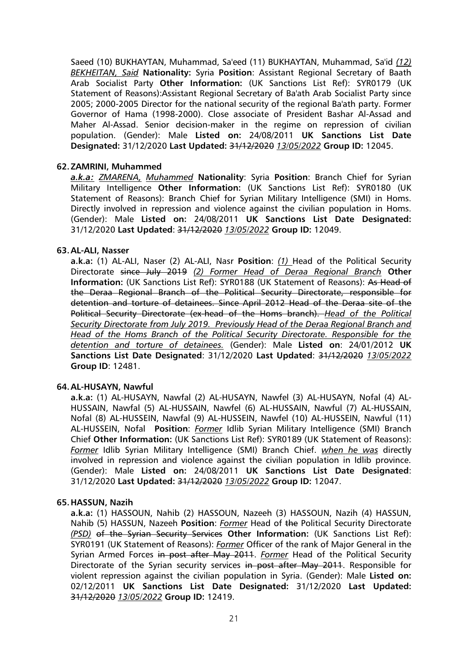Saeed (10) BUKHAYTAN, Muhammad, Sa'eed (11) BUKHAYTAN, Muhammad, Sa'id *(12) BEKHEITAN, Said* **Nationality:** Syria **Position**: Assistant Regional Secretary of Baath Arab Socialist Party **Other Information:** (UK Sanctions List Ref): SYR0179 (UK Statement of Reasons):Assistant Regional Secretary of Ba'ath Arab Socialist Party since 2005; 2000-2005 Director for the national security of the regional Ba'ath party. Former Governor of Hama (1998-2000). Close associate of President Bashar Al-Assad and Maher Al-Assad. Senior decision-maker in the regime on repression of civilian population. (Gender): Male **Listed on:** 24/08/2011 **UK Sanctions List Date Designated:** 31/12/2020 **Last Updated:** 31/12/2020 *13/05/2022* **Group ID:** 12045.

### **62.ZAMRINI, Muhammed**

*a.k.a: ZMARENA, Muhammed* **Nationality**: Syria **Position**: Branch Chief for Syrian Military Intelligence **Other Information:** (UK Sanctions List Ref): SYR0180 (UK Statement of Reasons): Branch Chief for Syrian Military Intelligence (SMI) in Homs. Directly involved in repression and violence against the civilian population in Homs. (Gender): Male **Listed on:** 24/08/2011 **UK Sanctions List Date Designated:** 31/12/2020 **Last Updated**: 31/12/2020 *13/05/2022* **Group ID:** 12049.

### **63.AL-ALI, Nasser**

**a.k.a:** (1) AL-ALI, Naser (2) AL-ALI, Nasr **Position**: *(1)* Head of the Political Security Directorate since July 2019 *(2) Former Head of Deraa Regional Branch* **Other Information:** (UK Sanctions List Ref): SYR0188 (UK Statement of Reasons): As Head of the Deraa Regional Branch of the Political Security Directorate, responsible for detention and torture of detainees. Since April 2012 Head of the Deraa site of the Political Security Directorate (ex-head of the Homs branch). *Head of the Political Security Directorate from July 2019. Previously Head of the Deraa Regional Branch and Head of the Homs Branch of the Political Security Directorate. Responsible for the detention and torture of detainees.* (Gender): Male **Listed on**: 24/01/2012 **UK Sanctions List Date Designated**: 31/12/2020 **Last Updated**: 31/12/2020 *13/05/2022* **Group ID**: 12481.

#### **64.AL-HUSAYN, Nawful**

**a.k.a:** (1) AL-HUSAYN, Nawfal (2) AL-HUSAYN, Nawfel (3) AL-HUSAYN, Nofal (4) AL-HUSSAIN, Nawfal (5) AL-HUSSAIN, Nawfel (6) AL-HUSSAIN, Nawful (7) AL-HUSSAIN, Nofal (8) AL-HUSSEIN, Nawfal (9) AL-HUSSEIN, Nawfel (10) AL-HUSSEIN, Nawful (11) AL-HUSSEIN, Nofal **Position**: *Former* Idlib Syrian Military Intelligence (SMI) Branch Chief **Other Information:** (UK Sanctions List Ref): SYR0189 (UK Statement of Reasons): *Former* Idlib Syrian Military Intelligence (SMI) Branch Chief. *when he was* directly involved in repression and violence against the civilian population in Idlib province. (Gender): Male **Listed on:** 24/08/2011 **UK Sanctions List Date Designated**: 31/12/2020 **Last Updated:** 31/12/2020 *13/05/2022* **Group ID:** 12047.

#### **65.HASSUN, Nazih**

**a.k.a:** (1) HASSOUN, Nahib (2) HASSOUN, Nazeeh (3) HASSOUN, Nazih (4) HASSUN, Nahib (5) HASSUN, Nazeeh **Position**: *Former* Head of the Political Security Directorate *(PSD)* of the Syrian Security Services **Other Information:** (UK Sanctions List Ref): SYR0191 (UK Statement of Reasons): *Former* Officer of the rank of Major General in the Syrian Armed Forces in post after May 2011. *Former* Head of the Political Security Directorate of the Syrian security services in post after May 2011. Responsible for violent repression against the civilian population in Syria. (Gender): Male **Listed on:** 02/12/2011 **UK Sanctions List Date Designated:** 31/12/2020 **Last Updated:** 31/12/2020 *13/05/2022* **Group ID:** 12419.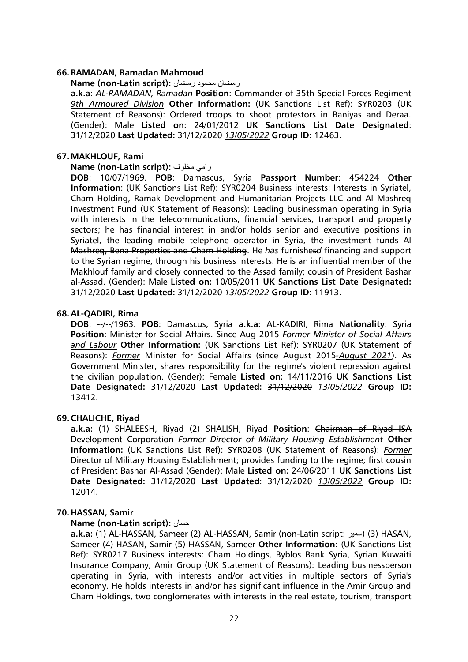#### **66.RAMADAN, Ramadan Mahmoud**

#### **Name (non-Latin script):** رمضان محمود رمضان

**a.k.a:** *AL-RAMADAN, Ramadan* **Position**: Commander of 35th Special Forces Regiment *9th Armoured Division* **Other Information:** (UK Sanctions List Ref): SYR0203 (UK Statement of Reasons): Ordered troops to shoot protestors in Baniyas and Deraa. (Gender): Male **Listed on:** 24/01/2012 **UK Sanctions List Date Designated**: 31/12/2020 **Last Updated:** 31/12/2020 *13/05/2022* **Group ID:** 12463.

#### **67.MAKHLOUF, Rami**

### **Name (non-Latin script):** مخلوف رامي

**DOB**: 10/07/1969. **POB**: Damascus, Syria **Passport Number**: 454224 **Other Information**: (UK Sanctions List Ref): SYR0204 Business interests: Interests in Syriatel, Cham Holding, Ramak Development and Humanitarian Projects LLC and Al Mashreq Investment Fund (UK Statement of Reasons): Leading businessman operating in Syria with interests in the telecommunications, financial services, transport and property sectors; he has financial interest in and/or holds senior and executive positions in Syriatel, the leading mobile telephone operator in Syria, the investment funds Al Mashreq, Bena Properties and Cham Holding. He *has* furnishes*d* financing and support to the Syrian regime, through his business interests. He is an influential member of the Makhlouf family and closely connected to the Assad family; cousin of President Bashar al-Assad. (Gender): Male **Listed on:** 10/05/2011 **UK Sanctions List Date Designated:** 31/12/2020 **Last Updated:** 31/12/2020 *13/05/2022* **Group ID:** 11913.

### **68.AL-QADIRI, Rima**

**DOB**: --/--/1963. **POB**: Damascus, Syria **a.k.a:** AL-KADIRI, Rima **Nationality**: Syria **Position**: Minister for Social Affairs. Since Aug 2015 *Former Minister of Social Affairs and Labour* **Other Information:** (UK Sanctions List Ref): SYR0207 (UK Statement of Reasons): *Former* Minister for Social Affairs (since August 2015*-August 2021*). As Government Minister, shares responsibility for the regime's violent repression against the civilian population. (Gender): Female **Listed on:** 14/11/2016 **UK Sanctions List Date Designated:** 31/12/2020 **Last Updated:** 31/12/2020 *13/05/2022* **Group ID:** 13412.

#### **69.CHALICHE, Riyad**

**a.k.a:** (1) SHALEESH, Riyad (2) SHALISH, Riyad **Position**: Chairman of Riyad ISA Development Corporation *Former Director of Military Housing Establishment* **Other Information:** (UK Sanctions List Ref): SYR0208 (UK Statement of Reasons): *Former* Director of Military Housing Establishment; provides funding to the regime; first cousin of President Bashar Al-Assad (Gender): Male **Listed on:** 24/06/2011 **UK Sanctions List Date Designated:** 31/12/2020 **Last Updated**: 31/12/2020 *13/05/2022* **Group ID:** 12014.

#### **70.HASSAN, Samir**

#### **Name (non-Latin script):** حسان

**a.k.a:** (1) AL-HASSAN, Sameer (2) AL-HASSAN, Samir (non-Latin script: سمير) (3 (HASAN, Sameer (4) HASAN, Samir (5) HASSAN, Sameer **Other Information:** (UK Sanctions List Ref): SYR0217 Business interests: Cham Holdings, Byblos Bank Syria, Syrian Kuwaiti Insurance Company, Amir Group (UK Statement of Reasons): Leading businessperson operating in Syria, with interests and/or activities in multiple sectors of Syria's economy. He holds interests in and/or has significant influence in the Amir Group and Cham Holdings, two conglomerates with interests in the real estate, tourism, transport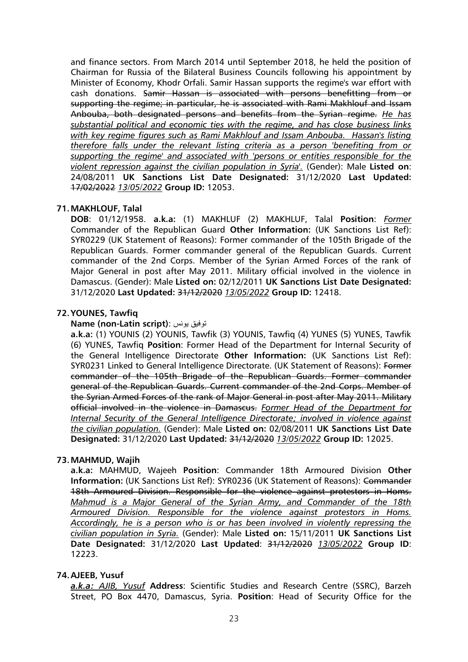and finance sectors. From March 2014 until September 2018, he held the position of Chairman for Russia of the Bilateral Business Councils following his appointment by Minister of Economy, Khodr Orfali. Samir Hassan supports the regime's war effort with cash donations. Samir Hassan is associated with persons benefitting from or supporting the regime; in particular, he is associated with Rami Makhlouf and Issam Anbouba, both designated persons and benefits from the Syrian regime. *He has substantial political and economic ties with the regime, and has close business links with key regime figures such as Rami Makhlouf and Issam Anbouba. Hassan's listing therefore falls under the relevant listing criteria as a person 'benefiting from or supporting the regime' and associated with 'persons or entities responsible for the violent repression against the civilian population in Syria'.* (Gender): Male **Listed on**: 24/08/2011 **UK Sanctions List Date Designated:** 31/12/2020 **Last Updated:** 17/02/2022 *13/05/2022* **Group ID:** 12053.

### **71.MAKHLOUF, Talal**

**DOB**: 01/12/1958. **a.k.a:** (1) MAKHLUF (2) MAKHLUF, Talal **Position**: *Former* Commander of the Republican Guard **Other Information:** (UK Sanctions List Ref): SYR0229 (UK Statement of Reasons): Former commander of the 105th Brigade of the Republican Guards. Former commander general of the Republican Guards. Current commander of the 2nd Corps. Member of the Syrian Armed Forces of the rank of Major General in post after May 2011. Military official involved in the violence in Damascus. (Gender): Male **Listed on:** 02/12/2011 **UK Sanctions List Date Designated:** 31/12/2020 **Last Updated:** 31/12/2020 *13/05/2022* **Group ID:** 12418.

### **72.YOUNES, Tawfiq**

#### **Name (non-Latin script)**: يونس توفيق

**a.k.a:** (1) YOUNIS (2) YOUNIS, Tawfik (3) YOUNIS, Tawfiq (4) YUNES (5) YUNES, Tawfik (6) YUNES, Tawfiq **Position**: Former Head of the Department for Internal Security of the General Intelligence Directorate **Other Information:** (UK Sanctions List Ref): SYR0231 Linked to General Intelligence Directorate. (UK Statement of Reasons): Former commander of the 105th Brigade of the Republican Guards. Former commander general of the Republican Guards. Current commander of the 2nd Corps. Member of the Syrian Armed Forces of the rank of Major General in post after May 2011. Military official involved in the violence in Damascus. *Former Head of the Department for Internal Security of the General Intelligence Directorate; involved in violence against the civilian population.* (Gender): Male **Listed on:** 02/08/2011 **UK Sanctions List Date Designated:** 31/12/2020 **Last Updated:** 31/12/2020 *13/05/2022* **Group ID:** 12025.

#### **73.MAHMUD, Wajih**

**a.k.a:** MAHMUD, Wajeeh **Position**: Commander 18th Armoured Division **Other Information:** (UK Sanctions List Ref): SYR0236 (UK Statement of Reasons): Commander 18th Armoured Division. Responsible for the violence against protestors in Homs. *Mahmud is a Major General of the Syrian Army, and Commander of the 18th Armoured Division. Responsible for the violence against protestors in Homs. Accordingly, he is a person who is or has been involved in violently repressing the civilian population in Syria.* (Gender): Male **Listed on:** 15/11/2011 **UK Sanctions List Date Designated:** 31/12/2020 **Last Updated**: 31/12/2020 *13/05/2022* **Group ID**: 12223.

#### **74.AJEEB, Yusuf**

*a.k.a: AJIB, Yusuf* **Address**: Scientific Studies and Research Centre (SSRC), Barzeh Street, PO Box 4470, Damascus, Syria. **Position**: Head of Security Office for the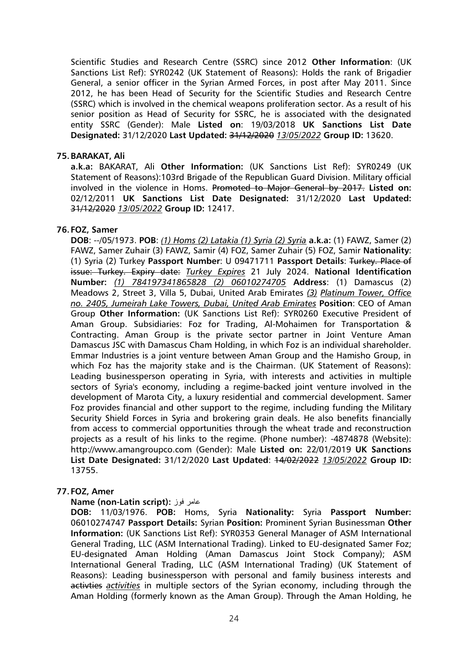Scientific Studies and Research Centre (SSRC) since 2012 **Other Information**: (UK Sanctions List Ref): SYR0242 (UK Statement of Reasons): Holds the rank of Brigadier General, a senior officer in the Syrian Armed Forces, in post after May 2011. Since 2012, he has been Head of Security for the Scientific Studies and Research Centre (SSRC) which is involved in the chemical weapons proliferation sector. As a result of his senior position as Head of Security for SSRC, he is associated with the designated entity SSRC (Gender): Male **Listed on**: 19/03/2018 **UK Sanctions List Date Designated:** 31/12/2020 **Last Updated:** 31/12/2020 *13/05/2022* **Group ID:** 13620.

### **75.BARAKAT, Ali**

**a.k.a:** BAKARAT, Ali **Other Information:** (UK Sanctions List Ref): SYR0249 (UK Statement of Reasons):103rd Brigade of the Republican Guard Division. Military official involved in the violence in Homs. Promoted to Major General by 2017. **Listed on:** 02/12/2011 **UK Sanctions List Date Designated:** 31/12/2020 **Last Updated:** 31/12/2020 *13/05/2022* **Group ID:** 12417.

### **76. FOZ, Samer**

**DOB**: --/05/1973. **POB**: *(1) Homs (2) Latakia (1) Syria (2) Syria* **a.k.a:** (1) FAWZ, Samer (2) FAWZ, Samer Zuhair (3) FAWZ, Samir (4) FOZ, Samer Zuhair (5) FOZ, Samir **Nationality**: (1) Syria (2) Turkey **Passport Number**: U 09471711 **Passport Details**: Turkey. Place of issue: Turkey. Expiry date: *Turkey Expires* 21 July 2024. **National Identification Number:** *(1) 784197341865828 (2) 06010274705* **Address**: (1) Damascus (2) Meadows 2, Street 3, Villa 5, Dubai, United Arab Emirates *(3) Platinum Tower, Office no. 2405, Jumeirah Lake Towers, Dubai, United Arab Emirates* **Position**: CEO of Aman Group **Other Information:** (UK Sanctions List Ref): SYR0260 Executive President of Aman Group. Subsidiaries: Foz for Trading, Al-Mohaimen for Transportation & Contracting. Aman Group is the private sector partner in Joint Venture Aman Damascus JSC with Damascus Cham Holding, in which Foz is an individual shareholder. Emmar Industries is a joint venture between Aman Group and the Hamisho Group, in which Foz has the majority stake and is the Chairman. (UK Statement of Reasons): Leading businessperson operating in Syria, with interests and activities in multiple sectors of Syria's economy, including a regime-backed joint venture involved in the development of Marota City, a luxury residential and commercial development. Samer Foz provides financial and other support to the regime, including funding the Military Security Shield Forces in Syria and brokering grain deals. He also benefits financially from access to commercial opportunities through the wheat trade and reconstruction projects as a result of his links to the regime. (Phone number): -4874878 (Website): http://www.amangroupco.com (Gender): Male **Listed on:** 22/01/2019 **UK Sanctions List Date Designated:** 31/12/2020 **Last Updated**: 14/02/2022 *13/05/2022* **Group ID:** 13755.

### **77. FOZ, Amer**

#### **Name (non-Latin script):** فوز عامر

**DOB:** 11/03/1976. **POB:** Homs, Syria **Nationality:** Syria **Passport Number:** 06010274747 **Passport Details:** Syrian **Position:** Prominent Syrian Businessman **Other Information:** (UK Sanctions List Ref): SYR0353 General Manager of ASM International General Trading, LLC (ASM International Trading). Linked to EU-designated Samer Foz; EU-designated Aman Holding (Aman Damascus Joint Stock Company); ASM International General Trading, LLC (ASM International Trading) (UK Statement of Reasons): Leading businessperson with personal and family business interests and activties *activities* in multiple sectors of the Syrian economy, including through the Aman Holding (formerly known as the Aman Group). Through the Aman Holding, he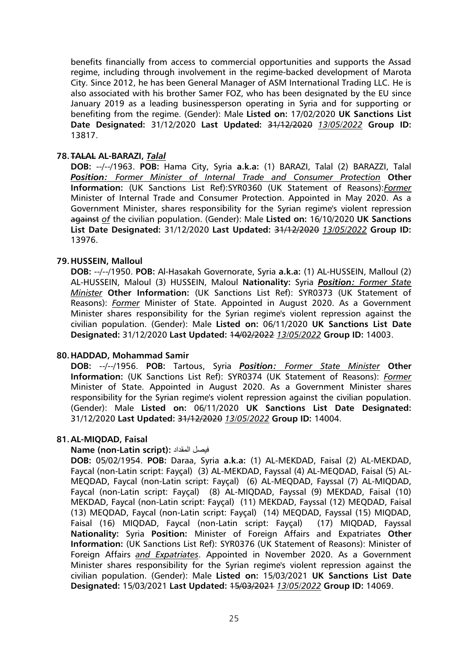benefits financially from access to commercial opportunities and supports the Assad regime, including through involvement in the regime-backed development of Marota City. Since 2012, he has been General Manager of ASM International Trading LLC. He is also associated with his brother Samer FOZ, who has been designated by the EU since January 2019 as a leading businessperson operating in Syria and for supporting or benefiting from the regime. (Gender): Male **Listed on:** 17/02/2020 **UK Sanctions List Date Designated:** 31/12/2020 **Last Updated:** 31/12/2020 *13/05/2022* **Group ID:**  13817.

### **78. TALAL AL-BARAZI,** *Talal*

**DOB:** --/--/1963. **POB:** Hama City, Syria **a.k.a:** (1) BARAZI, Talal (2) BARAZZI, Talal *Position: Former Minister of Internal Trade and Consumer Protection* **Other Information:** (UK Sanctions List Ref):SYR0360 (UK Statement of Reasons):*Former* Minister of Internal Trade and Consumer Protection. Appointed in May 2020. As a Government Minister, shares responsibility for the Syrian regime's violent repression against *of* the civilian population. (Gender): Male **Listed on:** 16/10/2020 **UK Sanctions List Date Designated:** 31/12/2020 **Last Updated:** 31/12/2020 *13/05/2022* **Group ID:**  13976.

### **79.HUSSEIN, Malloul**

**DOB:** --/--/1950. **POB:** Al-Hasakah Governorate, Syria **a.k.a:** (1) AL-HUSSEIN, Malloul (2) AL-HUSSEIN, Maloul (3) HUSSEIN, Maloul **Nationality:** Syria *Position: Former State Minister* **Other Information:** (UK Sanctions List Ref): SYR0373 (UK Statement of Reasons): *Former* Minister of State. Appointed in August 2020. As a Government Minister shares responsibility for the Syrian regime's violent repression against the civilian population. (Gender): Male **Listed on:** 06/11/2020 **UK Sanctions List Date Designated:** 31/12/2020 **Last Updated:** 14/02/2022 *13/05/2022* **Group ID:** 14003.

### **80.HADDAD, Mohammad Samir**

**DOB:** --/--/1956. **POB:** Tartous, Syria *Position: Former State Minister* **Other Information:** (UK Sanctions List Ref): SYR0374 (UK Statement of Reasons): *Former* Minister of State. Appointed in August 2020. As a Government Minister shares responsibility for the Syrian regime's violent repression against the civilian population. (Gender): Male **Listed on:** 06/11/2020 **UK Sanctions List Date Designated:**  31/12/2020 **Last Updated:** 31/12/2020 *13/05/2022* **Group ID:** 14004.

### **81.AL-MIQDAD, Faisal**

### **Name (non-Latin script):** المقداد فيصل

**DOB:** 05/02/1954. **POB:** Daraa, Syria **a.k.a:** (1) AL-MEKDAD, Faisal (2) AL-MEKDAD, Faycal (non-Latin script: Fayçal) (3) AL-MEKDAD, Fayssal (4) AL-MEQDAD, Faisal (5) AL-MEQDAD, Faycal (non-Latin script: Fayçal) (6) AL-MEQDAD, Fayssal (7) AL-MIQDAD, Faycal (non-Latin script: Fayçal) (8) AL-MIQDAD, Fayssal (9) MEKDAD, Faisal (10) MEKDAD, Faycal (non-Latin script: Fayçal) (11) MEKDAD, Fayssal (12) MEQDAD, Faisal (13) MEQDAD, Faycal (non-Latin script: Fayçal) (14) MEQDAD, Fayssal (15) MIQDAD, Faisal (16) MIQDAD, Faycal (non-Latin script: Fayçal) (17) MIQDAD, Fayssal **Nationality:** Syria **Position:** Minister of Foreign Affairs and Expatriates **Other Information:** (UK Sanctions List Ref): SYR0376 (UK Statement of Reasons): Minister of Foreign Affairs *and Expatriates*. Appointed in November 2020. As a Government Minister shares responsibility for the Syrian regime's violent repression against the civilian population. (Gender): Male **Listed on:** 15/03/2021 **UK Sanctions List Date Designated:** 15/03/2021 **Last Updated:** 15/03/2021 *13/05/2022* **Group ID:** 14069.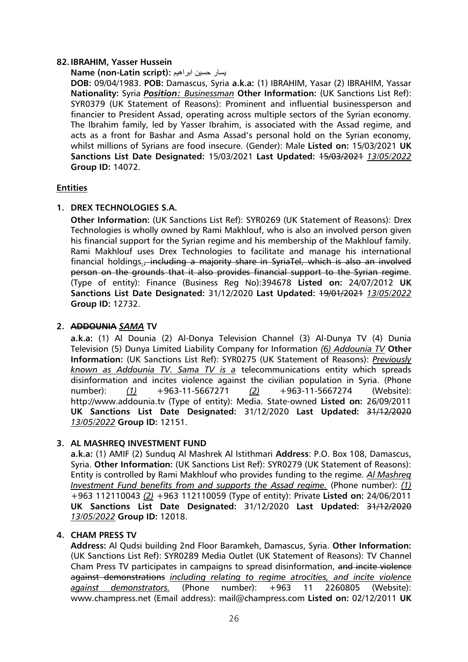### **82.IBRAHIM, Yasser Hussein**

**Name (non-Latin script):** ابراهيم حسين يسار

**DOB:** 09/04/1983. **POB:** Damascus, Syria **a.k.a:** (1) IBRAHIM, Yasar (2) IBRAHIM, Yassar **Nationality:** Syria *Position: Businessman* **Other Information:** (UK Sanctions List Ref): SYR0379 (UK Statement of Reasons): Prominent and influential businessperson and financier to President Assad, operating across multiple sectors of the Syrian economy. The Ibrahim family, led by Yasser Ibrahim, is associated with the Assad regime, and acts as a front for Bashar and Asma Assad's personal hold on the Syrian economy, whilst millions of Syrians are food insecure. (Gender): Male **Listed on:** 15/03/2021 **UK Sanctions List Date Designated:** 15/03/2021 **Last Updated:** 15/03/2021 *13/05/2022* **Group ID:** 14072.

# **Entities**

# **1. DREX TECHNOLOGIES S.A.**

**Other Information:** (UK Sanctions List Ref): SYR0269 (UK Statement of Reasons): Drex Technologies is wholly owned by Rami Makhlouf, who is also an involved person given his financial support for the Syrian regime and his membership of the Makhlouf family. Rami Makhlouf uses Drex Technologies to facilitate and manage his international financial holdings., including a majority share in SyriaTel, which is also an involved person on the grounds that it also provides financial support to the Syrian regime. (Type of entity): Finance (Business Reg No):394678 **Listed on:** 24/07/2012 **UK Sanctions List Date Designated:** 31/12/2020 **Last Updated:** 19/01/2021 *13/05/2022* **Group ID:** 12732.

# **2. ADDOUNIA** *SAMA* **TV**

**a.k.a:** (1) Al Dounia (2) Al-Donya Television Channel (3) Al-Dunya TV (4) Dunia Television (5) Dunya Limited Liability Company for Information *(6) Addounia TV* **Other Information:** (UK Sanctions List Ref): SYR0275 (UK Statement of Reasons): *Previously known as Addounia TV. Sama TV is a* telecommunications entity which spreads disinformation and incites violence against the civilian population in Syria. (Phone number): *(1)* +963-11-5667271 *(2)* +963-11-5667274 (Website): http://www.addounia.tv (Type of entity): Media. State-owned **Listed on:** 26/09/2011 **UK Sanctions List Date Designated:** 31/12/2020 **Last Updated:** 31/12/2020 *13/05/2022* **Group ID:** 12151.

# **3. AL MASHREQ INVESTMENT FUND**

**a.k.a:** (1) AMIF (2) Sunduq Al Mashrek Al Istithmari **Address**: P.O. Box 108, Damascus, Syria. **Other Information:** (UK Sanctions List Ref): SYR0279 (UK Statement of Reasons): Entity is controlled by Rami Makhlouf who provides funding to the regime. *Al Mashreq Investment Fund benefits from and supports the Assad regime.* (Phone number): *(1)*  +963 112110043 *(2)* +963 112110059 (Type of entity): Private **Listed on:** 24/06/2011 **UK Sanctions List Date Designated:** 31/12/2020 **Last Updated:** 31/12/2020 *13/05/2022* **Group ID:** 12018.

### **4. CHAM PRESS TV**

**Address:** Al Qudsi building 2nd Floor Baramkeh, Damascus, Syria. **Other Information:**  (UK Sanctions List Ref): SYR0289 Media Outlet (UK Statement of Reasons): TV Channel Cham Press TV participates in campaigns to spread disinformation, and incite violence against demonstrations *including relating to regime atrocities, and incite violence against demonstrators.* (Phone number): +963 11 2260805 (Website): www.champress.net (Email address): mail@champress.com **Listed on:** 02/12/2011 **UK**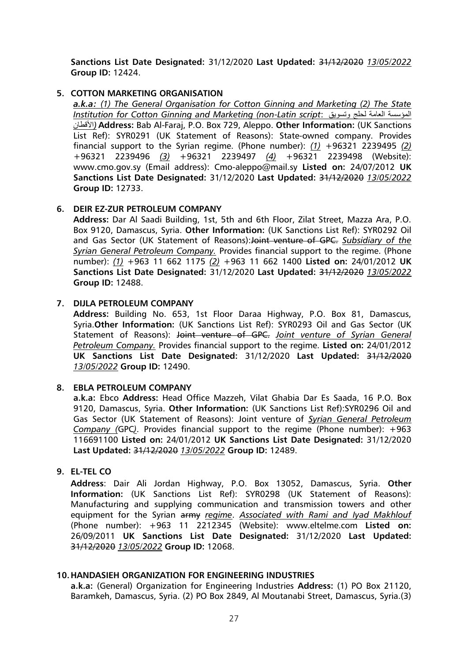**Sanctions List Date Designated:** 31/12/2020 **Last Updated:** 31/12/2020 *13/05/2022* **Group ID:** 12424.

### **5. COTTON MARKETING ORGANISATION**

*a.k.a: (1) The General Organisation for Cotton Ginning and Marketing (2) The State Institution for Cotton Ginning and Marketing (non-Latin script*: وتسويق لحلج العامة المؤسسة األقطان *(***Address:** Bab Al-Faraj, P.O. Box 729, Aleppo. **Other Information:** (UK Sanctions List Ref): SYR0291 (UK Statement of Reasons): State-owned company. Provides financial support to the Syrian regime. (Phone number): *(1)* +96321 2239495 *(2)* +96321 2239496 *(3)* +96321 2239497 *(4)* +96321 2239498 (Website): www.cmo.gov.sy (Email address): Cmo-aleppo@mail.sy **Listed on:** 24/07/2012 **UK Sanctions List Date Designated:** 31/12/2020 **Last Updated:** 31/12/2020 *13/05/2022* **Group ID:** 12733.

### **6. DEIR EZ-ZUR PETROLEUM COMPANY**

**Address:** Dar Al Saadi Building, 1st, 5th and 6th Floor, Zilat Street, Mazza Ara, P.O. Box 9120, Damascus, Syria. **Other Information:** (UK Sanctions List Ref): SYR0292 Oil and Gas Sector (UK Statement of Reasons):Joint venture of GPC. *Subsidiary of the Syrian General Petroleum Company.* Provides financial support to the regime. (Phone number): *(1)* +963 11 662 1175 *(2)* +963 11 662 1400 **Listed on:** 24/01/2012 **UK Sanctions List Date Designated:** 31/12/2020 **Last Updated:** 31/12/2020 *13/05/2022* **Group ID:** 12488.

### **7. DIJLA PETROLEUM COMPANY**

**Address:** Building No. 653, 1st Floor Daraa Highway, P.O. Box 81, Damascus, Syria.**Other Information:** (UK Sanctions List Ref): SYR0293 Oil and Gas Sector (UK Statement of Reasons): Joint venture of GPC. *Joint venture of Syrian General Petroleum Company.* Provides financial support to the regime. **Listed on:** 24/01/2012 **UK Sanctions List Date Designated:** 31/12/2020 **Last Updated:** 31/12/2020 *13/05/2022* **Group ID:** 12490.

### **8. EBLA PETROLEUM COMPANY**

**a.k.a:** Ebco **Address:** Head Office Mazzeh, Vilat Ghabia Dar Es Saada, 16 P.O. Box 9120, Damascus, Syria. **Other Information:** (UK Sanctions List Ref):SYR0296 Oil and Gas Sector (UK Statement of Reasons): Joint venture of *Syrian General Petroleum Company (*GPC*)*. Provides financial support to the regime (Phone number): +963 116691100 **Listed on:** 24/01/2012 **UK Sanctions List Date Designated:** 31/12/2020 **Last Updated:** 31/12/2020 *13/05/2022* **Group ID:** 12489.

#### **9. EL-TEL CO**

**Address**: Dair Ali Jordan Highway, P.O. Box 13052, Damascus, Syria. **Other Information:** (UK Sanctions List Ref): SYR0298 (UK Statement of Reasons): Manufacturing and supplying communication and transmission towers and other equipment for the Syrian army *regime*. *Associated with Rami and Iyad Makhlouf*  (Phone number): +963 11 2212345 (Website): www.eltelme.com **Listed on:** 26/09/2011 **UK Sanctions List Date Designated:** 31/12/2020 **Last Updated:** 31/12/2020 *13/05/2022* **Group ID:** 12068.

### **10.HANDASIEH ORGANIZATION FOR ENGINEERING INDUSTRIES**

**a.k.a:** (General) Organization for Engineering Industries **Address:** (1) PO Box 21120, Baramkeh, Damascus, Syria. (2) PO Box 2849, Al Moutanabi Street, Damascus, Syria.(3)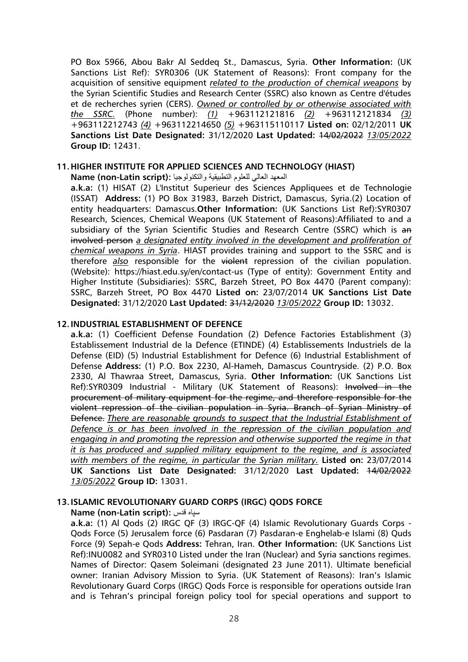PO Box 5966, Abou Bakr Al Seddeq St., Damascus, Syria. **Other Information:** (UK Sanctions List Ref): SYR0306 (UK Statement of Reasons): Front company for the acquisition of sensitive equipment *related to the production of chemical weapons* by the Syrian Scientific Studies and Research Center (SSRC) also known as Centre d'études et de recherches syrien (CERS). *Owned or controlled by or otherwise associated with the SSRC.* (Phone number): *(1)* +963112121816 *(2)* +963112121834 *(3)* +963112212743 *(4)* +963112214650 *(5)* +963115110117 **Listed on:** 02/12/2011 **UK Sanctions List Date Designated:** 31/12/2020 **Last Updated:** 14/02/2022 *13/05/2022* **Group ID:** 12431.

### **11.HIGHER INSTITUTE FOR APPLIED SCIENCES AND TECHNOLOGY (HIAST)**

المعهد العالي للعلوم التطبيقية والتكنولوجيا **:(script Latin-non (Name**

**a.k.a:** (1) HISAT (2) L'Institut Superieur des Sciences Appliquees et de Technologie (ISSAT) **Address:** (1) PO Box 31983, Barzeh District, Damascus, Syria.(2) Location of entity headquarters: Damascus.**Other Information:** (UK Sanctions List Ref):SYR0307 Research, Sciences, Chemical Weapons (UK Statement of Reasons):Affiliated to and a subsidiary of the Syrian Scientific Studies and Research Centre (SSRC) which is an involved person *a designated entity involved in the development and proliferation of chemical weapons in Syria*. HIAST provides training and support to the SSRC and is therefore *also* responsible for the violent repression of the civilian population. (Website): https://hiast.edu.sy/en/contact-us (Type of entity): Government Entity and Higher Institute (Subsidiaries): SSRC, Barzeh Street, PO Box 4470 (Parent company): SSRC, Barzeh Street, PO Box 4470 **Listed on:** 23/07/2014 **UK Sanctions List Date Designated:** 31/12/2020 **Last Updated:** 31/12/2020 *13/05/2022* **Group ID:** 13032.

### **12.INDUSTRIAL ESTABLISHMENT OF DEFENCE**

**a.k.a:** (1) Coefficient Defense Foundation (2) Defence Factories Establishment (3) Establissement Industrial de la Defence (ETINDE) (4) Establissements Industriels de la Defense (EID) (5) Industrial Establishment for Defence (6) Industrial Establishment of Defense **Address:** (1) P.O. Box 2230, Al-Hameh, Damascus Countryside. (2) P.O. Box 2330, Al Thawraa Street, Damascus, Syria. **Other Information:** (UK Sanctions List Ref):SYR0309 Industrial - Military (UK Statement of Reasons): Involved in the procurement of military equipment for the regime, and therefore responsible for the violent repression of the civilian population in Syria. Branch of Syrian Ministry of Defence. *There are reasonable grounds to suspect that the Industrial Establishment of Defence is or has been involved in the repression of the civilian population and engaging in and promoting the repression and otherwise supported the regime in that it is has produced and supplied military equipment to the regime, and is associated with members of the regime, in particular the Syrian military.* **Listed on:** 23/07/2014 **UK Sanctions List Date Designated:** 31/12/2020 **Last Updated:** 14/02/2022 *13/05/2022* **Group ID:** 13031.

### **13.ISLAMIC REVOLUTIONARY GUARD CORPS (IRGC) QODS FORCE**

**Name (non-Latin script):** قدس سپاه

**a.k.a:** (1) Al Qods (2) IRGC QF (3) IRGC-QF (4) Islamic Revolutionary Guards Corps - Qods Force (5) Jerusalem force (6) Pasdaran (7) Pasdaran-e Enghelab-e Islami (8) Quds Force (9) Sepah-e Qods **Address:** Tehran, Iran. **Other Information:** (UK Sanctions List Ref):INU0082 and SYR0310 Listed under the Iran (Nuclear) and Syria sanctions regimes. Names of Director: Qasem Soleimani (designated 23 June 2011). Ultimate beneficial owner: Iranian Advisory Mission to Syria. (UK Statement of Reasons): Iran's Islamic Revolutionary Guard Corps (IRGC) Qods Force is responsible for operations outside Iran and is Tehran's principal foreign policy tool for special operations and support to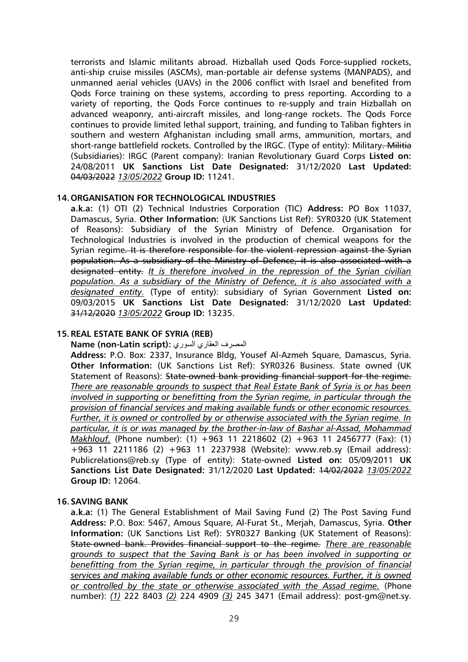terrorists and Islamic militants abroad. Hizballah used Qods Force-supplied rockets, anti-ship cruise missiles (ASCMs), man-portable air defense systems (MANPADS), and unmanned aerial vehicles (UAVs) in the 2006 conflict with Israel and benefited from Qods Force training on these systems, according to press reporting. According to a variety of reporting, the Qods Force continues to re-supply and train Hizballah on advanced weaponry, anti-aircraft missiles, and long-range rockets. The Qods Force continues to provide limited lethal support, training, and funding to Taliban fighters in southern and western Afghanistan including small arms, ammunition, mortars, and short-range battlefield rockets. Controlled by the IRGC. (Type of entity): Military. Militia (Subsidiaries): IRGC (Parent company): Iranian Revolutionary Guard Corps **Listed on:** 24/08/2011 **UK Sanctions List Date Designated:** 31/12/2020 **Last Updated:**  04/03/2022 *13/05/2022* **Group ID:** 11241.

### **14.ORGANISATION FOR TECHNOLOGICAL INDUSTRIES**

**a.k.a:** (1) OTI (2) Technical Industries Corporation (TIC) **Address:** PO Box 11037, Damascus, Syria. **Other Information:** (UK Sanctions List Ref): SYR0320 (UK Statement of Reasons): Subsidiary of the Syrian Ministry of Defence. Organisation for Technological Industries is involved in the production of chemical weapons for the Syrian regime. It is therefore responsible for the violent repression against the Syrian population. As a subsidiary of the Ministry of Defence, it is also associated with a designated entity. *It is therefore involved in the repression of the Syrian civilian population. As a subsidiary of the Ministry of Defence, it is also associated with a designated entity.* (Type of entity): subsidiary of Syrian Government **Listed on:** 09/03/2015 **UK Sanctions List Date Designated:** 31/12/2020 **Last Updated:**  31/12/2020 *13/05/2022* **Group ID:** 13235.

### **15.REAL ESTATE BANK OF SYRIA (REB)**

**Name (non-Latin script):** السوري العقاري المصرف

**Address:** P.O. Box: 2337, Insurance Bldg, Yousef Al-Azmeh Square, Damascus, Syria. **Other Information:** (UK Sanctions List Ref): SYR0326 Business. State owned (UK Statement of Reasons): State-owned bank providing financial support for the regime. *There are reasonable grounds to suspect that Real Estate Bank of Syria is or has been involved in supporting or benefitting from the Syrian regime, in particular through the provision of financial services and making available funds or other economic resources. Further, it is owned or controlled by or otherwise associated with the Syrian regime. In particular, it is or was managed by the brother-in-law of Bashar al-Assad, Mohammad Makhlouf.* (Phone number): (1) +963 11 2218602 (2) +963 11 2456777 (Fax): (1) +963 11 2211186 (2) +963 11 2237938 (Website): www.reb.sy (Email address): Publicrelations@reb.sy (Type of entity): State-owned **Listed on:** 05/09/2011 **UK Sanctions List Date Designated:** 31/12/2020 **Last Updated:** 14/02/2022 *13/05/2022* **Group ID:** 12064.

### **16.SAVING BANK**

**a.k.a:** (1) The General Establishment of Mail Saving Fund (2) The Post Saving Fund **Address:** P.O. Box: 5467, Amous Square, Al-Furat St., Merjah, Damascus, Syria. **Other Information:** (UK Sanctions List Ref): SYR0327 Banking (UK Statement of Reasons): State-owned bank. Provides financial support to the regime. *There are reasonable grounds to suspect that the Saving Bank is or has been involved in supporting or benefitting from the Syrian regime, in particular through the provision of financial services and making available funds or other economic resources. Further, it is owned or controlled by the state or otherwise associated with the Assad regime.* (Phone number): *(1)* 222 8403 *(2)* 224 4909 *(3)* 245 3471 (Email address): post-gm@net.sy.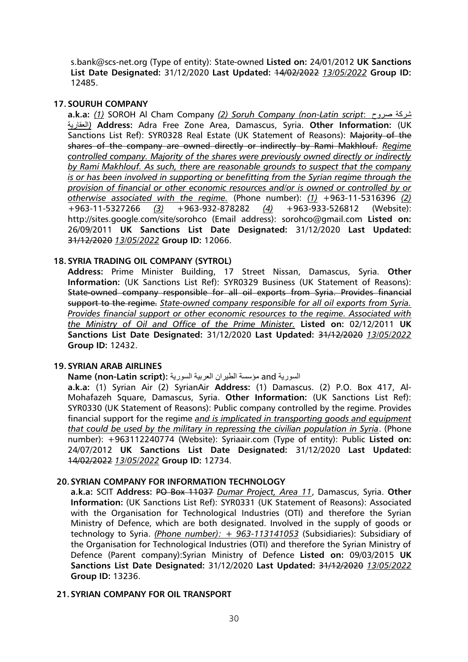s.bank@scs-net.org (Type of entity): State-owned **Listed on:** 24/01/2012 **UK Sanctions List Date Designated:** 31/12/2020 **Last Updated:** 14/02/2022 *13/05/2022* **Group ID:**  12485.

### **17.SOURUH COMPANY**

**a.k.a:** *(1)* SOROH Al Cham Company *(2) Soruh Company (non-Latin script*: صروح شركة العقارية *(***Address:** Adra Free Zone Area, Damascus, Syria. **Other Information:** (UK Sanctions List Ref): SYR0328 Real Estate (UK Statement of Reasons): Majority of the shares of the company are owned directly or indirectly by Rami Makhlouf. *Regime controlled company. Majority of the shares were previously owned directly or indirectly by Rami Makhlouf. As such, there are reasonable grounds to suspect that the company is or has been involved in supporting or benefitting from the Syrian regime through the provision of financial or other economic resources and/or is owned or controlled by or otherwise associated with the regime.* (Phone number): *(1)* +963-11-5316396 *(2)* +963-11-5327266 *(3)* +963-932-878282 *(4)* +963-933-526812 (Website): http://sites.google.com/site/sorohco (Email address): sorohco@gmail.com **Listed on:** 26/09/2011 **UK Sanctions List Date Designated:** 31/12/2020 **Last Updated:**  31/12/2020 *13/05/2022* **Group ID:** 12066.

### **18.SYRIA TRADING OIL COMPANY (SYTROL)**

**Address:** Prime Minister Building, 17 Street Nissan, Damascus, Syria. **Other Information:** (UK Sanctions List Ref): SYR0329 Business (UK Statement of Reasons): State-owned company responsible for all oil exports from Syria. Provides financial support to the regime. *State-owned company responsible for all oil exports from Syria. Provides financial support or other economic resources to the regime. Associated with the Ministry of Oil and Office of the Prime Minister.* **Listed on:** 02/12/2011 **UK Sanctions List Date Designated:** 31/12/2020 **Last Updated:** 31/12/2020 *13/05/2022* **Group ID:** 12432.

#### **19.SYRIAN ARAB AIRLINES**

#### السورية and مؤسسة الطيران العربية السورية **:(script Latin-non (Name**

**a.k.a:** (1) Syrian Air (2) SyrianAir **Address:** (1) Damascus. (2) P.O. Box 417, Al-Mohafazeh Square, Damascus, Syria. **Other Information:** (UK Sanctions List Ref): SYR0330 (UK Statement of Reasons): Public company controlled by the regime. Provides financial support for the regime *and is implicated in transporting goods and equipment that could be used by the military in repressing the civilian population in Syria*. (Phone number): +963112240774 (Website): Syriaair.com (Type of entity): Public **Listed on:** 24/07/2012 **UK Sanctions List Date Designated:** 31/12/2020 **Last Updated:**  14/02/2022 *13/05/2022* **Group ID:** 12734.

#### **20.SYRIAN COMPANY FOR INFORMATION TECHNOLOGY**

**a.k.a:** SCIT **Address:** PO Box 11037 *Dumar Project, Area 11*, Damascus, Syria. **Other Information:** (UK Sanctions List Ref): SYR0331 (UK Statement of Reasons): Associated with the Organisation for Technological Industries (OTI) and therefore the Syrian Ministry of Defence, which are both designated. Involved in the supply of goods or technology to Syria. *(Phone number): + 963-113141053* (Subsidiaries): Subsidiary of the Organisation for Technological Industries (OTI) and therefore the Syrian Ministry of Defence (Parent company):Syrian Ministry of Defence **Listed on:** 09/03/2015 **UK Sanctions List Date Designated:** 31/12/2020 **Last Updated:** 31/12/2020 *13/05/2022* **Group ID:** 13236.

#### **21.SYRIAN COMPANY FOR OIL TRANSPORT**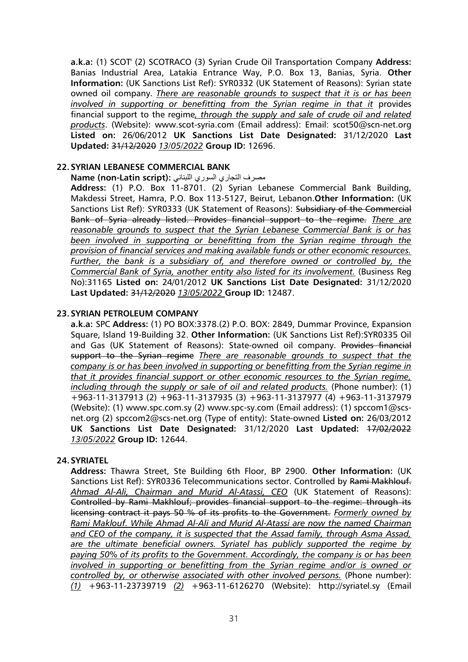**a.k.a:** (1) SCOT' (2) SCOTRACO (3) Syrian Crude Oil Transportation Company **Address:** Banias Industrial Area, Latakia Entrance Way, P.O. Box 13, Banias, Syria. **Other Information:** (UK Sanctions List Ref): SYR0332 (UK Statement of Reasons): Syrian state owned oil company. *There are reasonable grounds to suspect that it is or has been involved in supporting or benefitting from the Syrian regime in that it* provides financial support to the regime*, through the supply and sale of crude oil and related products*. (Website): www.scot-syria.com (Email address): Email: scot50@scn-net.org **Listed on:** 26/06/2012 **UK Sanctions List Date Designated:** 31/12/2020 **Last Updated:** 31/12/2020 *13/05/2022* **Group ID:** 12696.

### **22.SYRIAN LEBANESE COMMERCIAL BANK**

### مصرف التجاري السوري اللبناني **:(Name (non-Latin script**

**Address:** (1) P.O. Box 11-8701. (2) Syrian Lebanese Commercial Bank Building, Makdessi Street, Hamra, P.O. Box 113-5127, Beirut, Lebanon.**Other Information:** (UK Sanctions List Ref): SYR0333 (UK Statement of Reasons): Subsidiary of the Commercial Bank of Syria already listed. Provides financial support to the regime. *There are reasonable grounds to suspect that the Syrian Lebanese Commercial Bank is or has been involved in supporting or benefitting from the Syrian regime through the provision of financial services and making available funds or other economic resources. Further, the bank is a subsidiary of, and therefore owned or controlled by, the Commercial Bank of Syria, another entity also listed for its involvement.* (Business Reg No):31165 **Listed on:** 24/01/2012 **UK Sanctions List Date Designated:** 31/12/2020 **Last Updated:** 31/12/2020 *13/05/2022* **Group ID:** 12487.

### **23.SYRIAN PETROLEUM COMPANY**

**a.k.a:** SPC **Address:** (1) PO BOX:3378.(2) P.O. BOX: 2849, Dummar Province, Expansion Square, Island 19-Building 32. **Other Information:** (UK Sanctions List Ref):SYR0335 Oil and Gas (UK Statement of Reasons): State-owned oil company. Provides financial support to the Syrian regime *There are reasonable grounds to suspect that the company is or has been involved in supporting or benefitting from the Syrian regime in that it provides financial support or other economic resources to the Syrian regime, including through the supply or sale of oil and related products.* (Phone number): (1) +963-11-3137913 (2) +963-11-3137935 (3) +963-11-3137977 (4) +963-11-3137979 (Website): (1) www.spc.com.sy (2) www.spc-sy.com (Email address): (1) spccom1@scsnet.org (2) spccom2@scs-net.org (Type of entity): State-owned **Listed on:** 26/03/2012 **UK Sanctions List Date Designated:** 31/12/2020 **Last Updated:** 17/02/2022 *13/05/2022* **Group ID:** 12644.

#### **24.SYRIATEL**

**Address:** Thawra Street, Ste Building 6th Floor, BP 2900. **Other Information:** (UK Sanctions List Ref): SYR0336 Telecommunications sector. Controlled by Rami Makhlouf. *Ahmad Al-Ali, Chairman and Murid Al-Atassi, CEO* (UK Statement of Reasons): Controlled by Rami Makhlouf; provides financial support to the regime: through its licensing contract it pays 50 % of its profits to the Government. *Formerly owned by Rami Maklouf. While Ahmad Al-Ali and Murid Al-Atassi are now the named Chairman and CEO of the company, it is suspected that the Assad family, through Asma Assad, are the ultimate beneficial owners. Syriatel has publicly supported the regime by paying 50% of its profits to the Government. Accordingly, the company is or has been involved in supporting or benefitting from the Syrian regime and/or is owned or controlled by, or otherwise associated with other involved persons.* (Phone number): *(1)* +963-11-23739719 *(2)* +963-11-6126270 (Website): http://syriatel.sy (Email